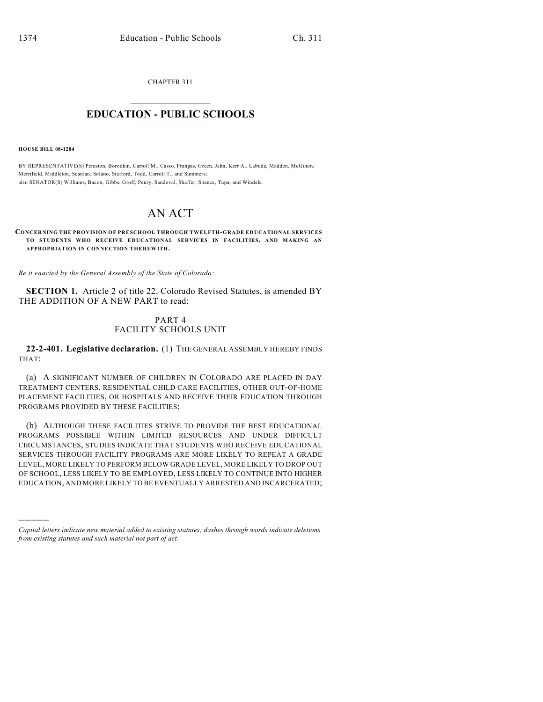CHAPTER 311

## $\mathcal{L}_\text{max}$  . The set of the set of the set of the set of the set of the set of the set of the set of the set of the set of the set of the set of the set of the set of the set of the set of the set of the set of the set **EDUCATION - PUBLIC SCHOOLS**  $\_$   $\_$   $\_$   $\_$   $\_$   $\_$   $\_$   $\_$   $\_$

**HOUSE BILL 08-1204**

)))))

BY REPRESENTATIVE(S) Peniston, Borodkin, Carroll M., Casso, Frangas, Green, Jahn, Kerr A., Labuda, Madden, McGihon, Merrifield, Middleton, Scanlan, Solano, Stafford, Todd, Carroll T., and Summers; also SENATOR(S) Williams, Bacon, Gibbs, Groff, Penry, Sandoval, Shaffer, Spence, Tupa, and Windels.

## AN ACT

**CONCERNING THE PROVISION OF PRESCHOOL THROUGH TWELFTH-GRADE EDUCATIONAL SERVICES TO STUDENTS WHO RECEIVE EDUCATIONAL SERVICES IN FACILITIES, AND MAKING AN APPROPRIATION IN CONNECTION THEREWITH.**

*Be it enacted by the General Assembly of the State of Colorado:*

**SECTION 1.** Article 2 of title 22, Colorado Revised Statutes, is amended BY THE ADDITION OF A NEW PART to read:

## PART 4 FACILITY SCHOOLS UNIT

**22-2-401. Legislative declaration.** (1) THE GENERAL ASSEMBLY HEREBY FINDS THAT:

(a) A SIGNIFICANT NUMBER OF CHILDREN IN COLORADO ARE PLACED IN DAY TREATMENT CENTERS, RESIDENTIAL CHILD CARE FACILITIES, OTHER OUT-OF-HOME PLACEMENT FACILITIES, OR HOSPITALS AND RECEIVE THEIR EDUCATION THROUGH PROGRAMS PROVIDED BY THESE FACILITIES;

(b) ALTHOUGH THESE FACILITIES STRIVE TO PROVIDE THE BEST EDUCATIONAL PROGRAMS POSSIBLE WITHIN LIMITED RESOURCES AND UNDER DIFFICULT CIRCUMSTANCES, STUDIES INDICATE THAT STUDENTS WHO RECEIVE EDUCATIONAL SERVICES THROUGH FACILITY PROGRAMS ARE MORE LIKELY TO REPEAT A GRADE LEVEL, MORE LIKELY TO PERFORM BELOW GRADE LEVEL, MORE LIKELY TO DROP OUT OF SCHOOL, LESS LIKELY TO BE EMPLOYED, LESS LIKELY TO CONTINUE INTO HIGHER EDUCATION, AND MORE LIKELY TO BE EVENTUALLY ARRESTED AND INCARCERATED;

*Capital letters indicate new material added to existing statutes; dashes through words indicate deletions from existing statutes and such material not part of act.*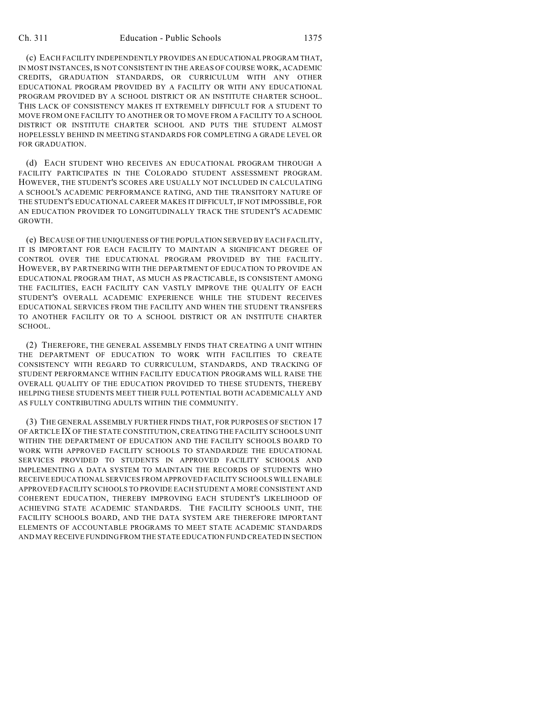(c) EACH FACILITY INDEPENDENTLY PROVIDES AN EDUCATIONAL PROGRAM THAT, IN MOST INSTANCES, IS NOT CONSISTENT IN THE AREAS OF COURSE WORK, ACADEMIC CREDITS, GRADUATION STANDARDS, OR CURRICULUM WITH ANY OTHER EDUCATIONAL PROGRAM PROVIDED BY A FACILITY OR WITH ANY EDUCATIONAL PROGRAM PROVIDED BY A SCHOOL DISTRICT OR AN INSTITUTE CHARTER SCHOOL. THIS LACK OF CONSISTENCY MAKES IT EXTREMELY DIFFICULT FOR A STUDENT TO MOVE FROM ONE FACILITY TO ANOTHER OR TO MOVE FROM A FACILITY TO A SCHOOL DISTRICT OR INSTITUTE CHARTER SCHOOL AND PUTS THE STUDENT ALMOST HOPELESSLY BEHIND IN MEETING STANDARDS FOR COMPLETING A GRADE LEVEL OR FOR GRADUATION.

(d) EACH STUDENT WHO RECEIVES AN EDUCATIONAL PROGRAM THROUGH A FACILITY PARTICIPATES IN THE COLORADO STUDENT ASSESSMENT PROGRAM. HOWEVER, THE STUDENT'S SCORES ARE USUALLY NOT INCLUDED IN CALCULATING A SCHOOL'S ACADEMIC PERFORMANCE RATING, AND THE TRANSITORY NATURE OF THE STUDENT'S EDUCATIONAL CAREER MAKES IT DIFFICULT, IF NOT IMPOSSIBLE, FOR AN EDUCATION PROVIDER TO LONGITUDINALLY TRACK THE STUDENT'S ACADEMIC GROWTH.

(e) BECAUSE OF THE UNIQUENESS OF THE POPULATION SERVED BY EACH FACILITY, IT IS IMPORTANT FOR EACH FACILITY TO MAINTAIN A SIGNIFICANT DEGREE OF CONTROL OVER THE EDUCATIONAL PROGRAM PROVIDED BY THE FACILITY. HOWEVER, BY PARTNERING WITH THE DEPARTMENT OF EDUCATION TO PROVIDE AN EDUCATIONAL PROGRAM THAT, AS MUCH AS PRACTICABLE, IS CONSISTENT AMONG THE FACILITIES, EACH FACILITY CAN VASTLY IMPROVE THE QUALITY OF EACH STUDENT'S OVERALL ACADEMIC EXPERIENCE WHILE THE STUDENT RECEIVES EDUCATIONAL SERVICES FROM THE FACILITY AND WHEN THE STUDENT TRANSFERS TO ANOTHER FACILITY OR TO A SCHOOL DISTRICT OR AN INSTITUTE CHARTER SCHOOL.

(2) THEREFORE, THE GENERAL ASSEMBLY FINDS THAT CREATING A UNIT WITHIN THE DEPARTMENT OF EDUCATION TO WORK WITH FACILITIES TO CREATE CONSISTENCY WITH REGARD TO CURRICULUM, STANDARDS, AND TRACKING OF STUDENT PERFORMANCE WITHIN FACILITY EDUCATION PROGRAMS WILL RAISE THE OVERALL QUALITY OF THE EDUCATION PROVIDED TO THESE STUDENTS, THEREBY HELPING THESE STUDENTS MEET THEIR FULL POTENTIAL BOTH ACADEMICALLY AND AS FULLY CONTRIBUTING ADULTS WITHIN THE COMMUNITY.

(3) THE GENERAL ASSEMBLY FURTHER FINDS THAT, FOR PURPOSES OF SECTION 17 OF ARTICLE IX OF THE STATE CONSTITUTION, CREATING THE FACILITY SCHOOLS UNIT WITHIN THE DEPARTMENT OF EDUCATION AND THE FACILITY SCHOOLS BOARD TO WORK WITH APPROVED FACILITY SCHOOLS TO STANDARDIZE THE EDUCATIONAL SERVICES PROVIDED TO STUDENTS IN APPROVED FACILITY SCHOOLS AND IMPLEMENTING A DATA SYSTEM TO MAINTAIN THE RECORDS OF STUDENTS WHO RECEIVE EDUCATIONAL SERVICES FROM APPROVED FACILITY SCHOOLS WILL ENABLE APPROVED FACILITY SCHOOLS TO PROVIDE EACH STUDENT A MORE CONSISTENT AND COHERENT EDUCATION, THEREBY IMPROVING EACH STUDENT'S LIKELIHOOD OF ACHIEVING STATE ACADEMIC STANDARDS. THE FACILITY SCHOOLS UNIT, THE FACILITY SCHOOLS BOARD, AND THE DATA SYSTEM ARE THEREFORE IMPORTANT ELEMENTS OF ACCOUNTABLE PROGRAMS TO MEET STATE ACADEMIC STANDARDS AND MAY RECEIVE FUNDING FROM THE STATE EDUCATION FUND CREATED IN SECTION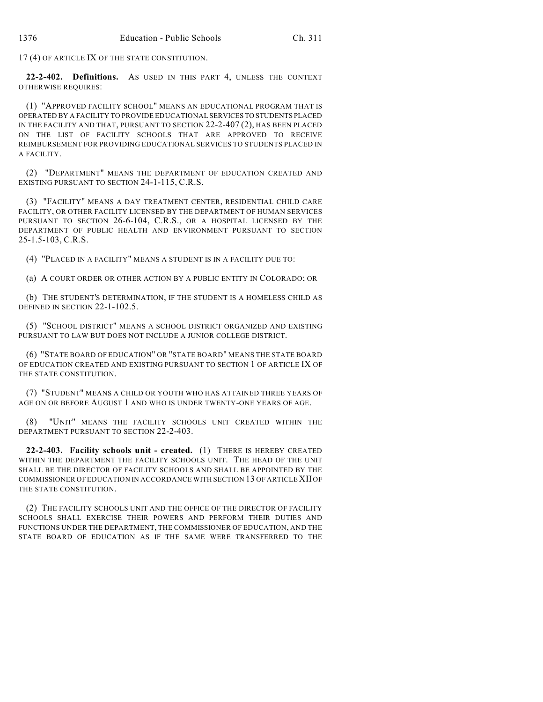17 (4) OF ARTICLE IX OF THE STATE CONSTITUTION.

**22-2-402. Definitions.** AS USED IN THIS PART 4, UNLESS THE CONTEXT OTHERWISE REQUIRES:

(1) "APPROVED FACILITY SCHOOL" MEANS AN EDUCATIONAL PROGRAM THAT IS OPERATED BY A FACILITY TO PROVIDE EDUCATIONAL SERVICES TO STUDENTS PLACED IN THE FACILITY AND THAT, PURSUANT TO SECTION 22-2-407 (2), HAS BEEN PLACED ON THE LIST OF FACILITY SCHOOLS THAT ARE APPROVED TO RECEIVE REIMBURSEMENT FOR PROVIDING EDUCATIONAL SERVICES TO STUDENTS PLACED IN A FACILITY.

(2) "DEPARTMENT" MEANS THE DEPARTMENT OF EDUCATION CREATED AND EXISTING PURSUANT TO SECTION 24-1-115, C.R.S.

(3) "FACILITY" MEANS A DAY TREATMENT CENTER, RESIDENTIAL CHILD CARE FACILITY, OR OTHER FACILITY LICENSED BY THE DEPARTMENT OF HUMAN SERVICES PURSUANT TO SECTION 26-6-104, C.R.S., OR A HOSPITAL LICENSED BY THE DEPARTMENT OF PUBLIC HEALTH AND ENVIRONMENT PURSUANT TO SECTION 25-1.5-103, C.R.S.

(4) "PLACED IN A FACILITY" MEANS A STUDENT IS IN A FACILITY DUE TO:

(a) A COURT ORDER OR OTHER ACTION BY A PUBLIC ENTITY IN COLORADO; OR

(b) THE STUDENT'S DETERMINATION, IF THE STUDENT IS A HOMELESS CHILD AS DEFINED IN SECTION 22-1-102.5.

(5) "SCHOOL DISTRICT" MEANS A SCHOOL DISTRICT ORGANIZED AND EXISTING PURSUANT TO LAW BUT DOES NOT INCLUDE A JUNIOR COLLEGE DISTRICT.

(6) "STATE BOARD OF EDUCATION" OR "STATE BOARD" MEANS THE STATE BOARD OF EDUCATION CREATED AND EXISTING PURSUANT TO SECTION 1 OF ARTICLE IX OF THE STATE CONSTITUTION.

(7) "STUDENT" MEANS A CHILD OR YOUTH WHO HAS ATTAINED THREE YEARS OF AGE ON OR BEFORE AUGUST 1 AND WHO IS UNDER TWENTY-ONE YEARS OF AGE.

(8) "UNIT" MEANS THE FACILITY SCHOOLS UNIT CREATED WITHIN THE DEPARTMENT PURSUANT TO SECTION 22-2-403.

**22-2-403. Facility schools unit - created.** (1) THERE IS HEREBY CREATED WITHIN THE DEPARTMENT THE FACILITY SCHOOLS UNIT. THE HEAD OF THE UNIT SHALL BE THE DIRECTOR OF FACILITY SCHOOLS AND SHALL BE APPOINTED BY THE COMMISSIONER OF EDUCATION IN ACCORDANCE WITH SECTION 13 OF ARTICLE XII OF THE STATE CONSTITUTION.

(2) THE FACILITY SCHOOLS UNIT AND THE OFFICE OF THE DIRECTOR OF FACILITY SCHOOLS SHALL EXERCISE THEIR POWERS AND PERFORM THEIR DUTIES AND FUNCTIONS UNDER THE DEPARTMENT, THE COMMISSIONER OF EDUCATION, AND THE STATE BOARD OF EDUCATION AS IF THE SAME WERE TRANSFERRED TO THE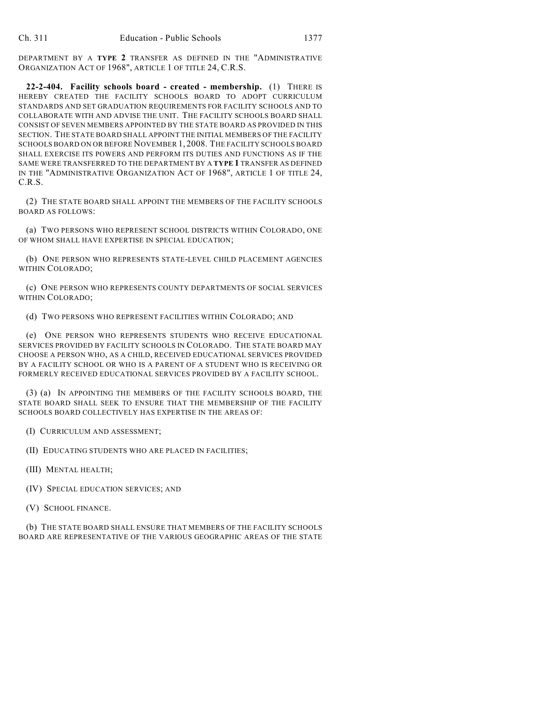DEPARTMENT BY A **TYPE 2** TRANSFER AS DEFINED IN THE "ADMINISTRATIVE ORGANIZATION ACT OF 1968", ARTICLE 1 OF TITLE 24, C.R.S.

**22-2-404. Facility schools board - created - membership.** (1) THERE IS HEREBY CREATED THE FACILITY SCHOOLS BOARD TO ADOPT CURRICULUM STANDARDS AND SET GRADUATION REQUIREMENTS FOR FACILITY SCHOOLS AND TO COLLABORATE WITH AND ADVISE THE UNIT. THE FACILITY SCHOOLS BOARD SHALL CONSIST OF SEVEN MEMBERS APPOINTED BY THE STATE BOARD AS PROVIDED IN THIS SECTION. THE STATE BOARD SHALL APPOINT THE INITIAL MEMBERS OF THE FACILITY SCHOOLS BOARD ON OR BEFORE NOVEMBER 1, 2008. THE FACILITY SCHOOLS BOARD SHALL EXERCISE ITS POWERS AND PERFORM ITS DUTIES AND FUNCTIONS AS IF THE SAME WERE TRANSFERRED TO THE DEPARTMENT BY A **TYPE 1** TRANSFER AS DEFINED IN THE "ADMINISTRATIVE ORGANIZATION ACT OF 1968", ARTICLE 1 OF TITLE 24, C.R.S.

(2) THE STATE BOARD SHALL APPOINT THE MEMBERS OF THE FACILITY SCHOOLS BOARD AS FOLLOWS:

(a) TWO PERSONS WHO REPRESENT SCHOOL DISTRICTS WITHIN COLORADO, ONE OF WHOM SHALL HAVE EXPERTISE IN SPECIAL EDUCATION;

(b) ONE PERSON WHO REPRESENTS STATE-LEVEL CHILD PLACEMENT AGENCIES WITHIN COLORADO;

(c) ONE PERSON WHO REPRESENTS COUNTY DEPARTMENTS OF SOCIAL SERVICES WITHIN COLORADO;

(d) TWO PERSONS WHO REPRESENT FACILITIES WITHIN COLORADO; AND

(e) ONE PERSON WHO REPRESENTS STUDENTS WHO RECEIVE EDUCATIONAL SERVICES PROVIDED BY FACILITY SCHOOLS IN COLORADO. THE STATE BOARD MAY CHOOSE A PERSON WHO, AS A CHILD, RECEIVED EDUCATIONAL SERVICES PROVIDED BY A FACILITY SCHOOL OR WHO IS A PARENT OF A STUDENT WHO IS RECEIVING OR FORMERLY RECEIVED EDUCATIONAL SERVICES PROVIDED BY A FACILITY SCHOOL.

(3) (a) IN APPOINTING THE MEMBERS OF THE FACILITY SCHOOLS BOARD, THE STATE BOARD SHALL SEEK TO ENSURE THAT THE MEMBERSHIP OF THE FACILITY SCHOOLS BOARD COLLECTIVELY HAS EXPERTISE IN THE AREAS OF:

(I) CURRICULUM AND ASSESSMENT;

(II) EDUCATING STUDENTS WHO ARE PLACED IN FACILITIES;

- (III) MENTAL HEALTH;
- (IV) SPECIAL EDUCATION SERVICES; AND
- (V) SCHOOL FINANCE.

(b) THE STATE BOARD SHALL ENSURE THAT MEMBERS OF THE FACILITY SCHOOLS BOARD ARE REPRESENTATIVE OF THE VARIOUS GEOGRAPHIC AREAS OF THE STATE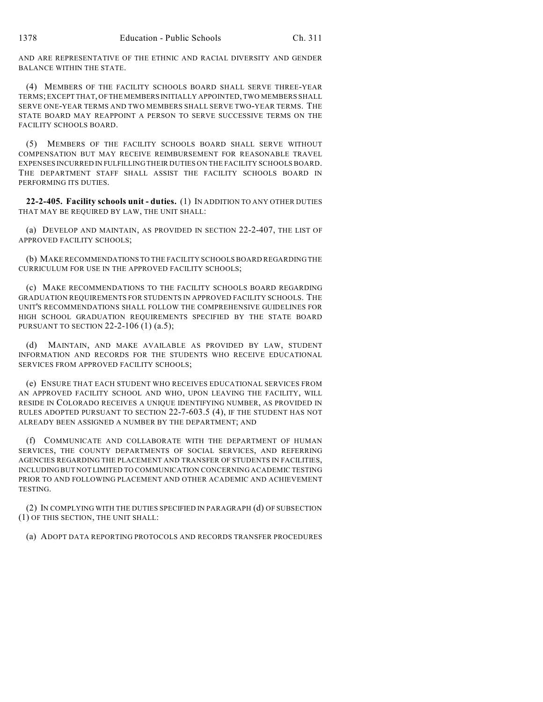AND ARE REPRESENTATIVE OF THE ETHNIC AND RACIAL DIVERSITY AND GENDER BALANCE WITHIN THE STATE.

(4) MEMBERS OF THE FACILITY SCHOOLS BOARD SHALL SERVE THREE-YEAR TERMS; EXCEPT THAT, OF THE MEMBERS INITIALLY APPOINTED, TWO MEMBERS SHALL SERVE ONE-YEAR TERMS AND TWO MEMBERS SHALL SERVE TWO-YEAR TERMS. THE STATE BOARD MAY REAPPOINT A PERSON TO SERVE SUCCESSIVE TERMS ON THE FACILITY SCHOOLS BOARD.

(5) MEMBERS OF THE FACILITY SCHOOLS BOARD SHALL SERVE WITHOUT COMPENSATION BUT MAY RECEIVE REIMBURSEMENT FOR REASONABLE TRAVEL EXPENSES INCURRED IN FULFILLING THEIR DUTIES ON THE FACILITY SCHOOLS BOARD. THE DEPARTMENT STAFF SHALL ASSIST THE FACILITY SCHOOLS BOARD IN PERFORMING ITS DUTIES.

**22-2-405. Facility schools unit - duties.** (1) IN ADDITION TO ANY OTHER DUTIES THAT MAY BE REQUIRED BY LAW, THE UNIT SHALL:

(a) DEVELOP AND MAINTAIN, AS PROVIDED IN SECTION 22-2-407, THE LIST OF APPROVED FACILITY SCHOOLS;

(b) MAKE RECOMMENDATIONS TO THE FACILITY SCHOOLS BOARD REGARDING THE CURRICULUM FOR USE IN THE APPROVED FACILITY SCHOOLS;

(c) MAKE RECOMMENDATIONS TO THE FACILITY SCHOOLS BOARD REGARDING GRADUATION REQUIREMENTS FOR STUDENTS IN APPROVED FACILITY SCHOOLS. THE UNIT'S RECOMMENDATIONS SHALL FOLLOW THE COMPREHENSIVE GUIDELINES FOR HIGH SCHOOL GRADUATION REQUIREMENTS SPECIFIED BY THE STATE BOARD PURSUANT TO SECTION 22-2-106 (1) (a.5);

(d) MAINTAIN, AND MAKE AVAILABLE AS PROVIDED BY LAW, STUDENT INFORMATION AND RECORDS FOR THE STUDENTS WHO RECEIVE EDUCATIONAL SERVICES FROM APPROVED FACILITY SCHOOLS;

(e) ENSURE THAT EACH STUDENT WHO RECEIVES EDUCATIONAL SERVICES FROM AN APPROVED FACILITY SCHOOL AND WHO, UPON LEAVING THE FACILITY, WILL RESIDE IN COLORADO RECEIVES A UNIQUE IDENTIFYING NUMBER, AS PROVIDED IN RULES ADOPTED PURSUANT TO SECTION 22-7-603.5 (4), IF THE STUDENT HAS NOT ALREADY BEEN ASSIGNED A NUMBER BY THE DEPARTMENT; AND

(f) COMMUNICATE AND COLLABORATE WITH THE DEPARTMENT OF HUMAN SERVICES, THE COUNTY DEPARTMENTS OF SOCIAL SERVICES, AND REFERRING AGENCIES REGARDING THE PLACEMENT AND TRANSFER OF STUDENTS IN FACILITIES, INCLUDING BUT NOT LIMITED TO COMMUNICATION CONCERNING ACADEMIC TESTING PRIOR TO AND FOLLOWING PLACEMENT AND OTHER ACADEMIC AND ACHIEVEMENT TESTING.

(2) IN COMPLYING WITH THE DUTIES SPECIFIED IN PARAGRAPH (d) OF SUBSECTION (1) OF THIS SECTION, THE UNIT SHALL:

(a) ADOPT DATA REPORTING PROTOCOLS AND RECORDS TRANSFER PROCEDURES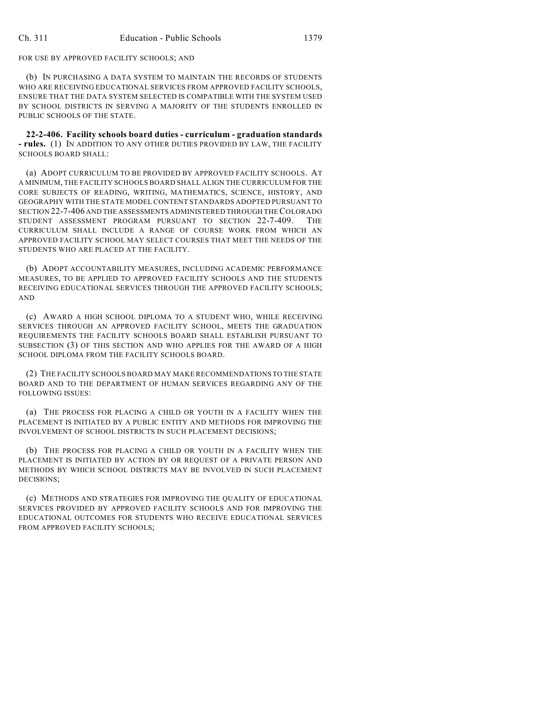FOR USE BY APPROVED FACILITY SCHOOLS; AND

(b) IN PURCHASING A DATA SYSTEM TO MAINTAIN THE RECORDS OF STUDENTS WHO ARE RECEIVING EDUCATIONAL SERVICES FROM APPROVED FACILITY SCHOOLS, ENSURE THAT THE DATA SYSTEM SELECTED IS COMPATIBLE WITH THE SYSTEM USED BY SCHOOL DISTRICTS IN SERVING A MAJORITY OF THE STUDENTS ENROLLED IN PUBLIC SCHOOLS OF THE STATE.

**22-2-406. Facility schools board duties - curriculum - graduation standards - rules.** (1) IN ADDITION TO ANY OTHER DUTIES PROVIDED BY LAW, THE FACILITY SCHOOLS BOARD SHALL:

(a) ADOPT CURRICULUM TO BE PROVIDED BY APPROVED FACILITY SCHOOLS. AT A MINIMUM, THE FACILITY SCHOOLS BOARD SHALL ALIGN THE CURRICULUM FOR THE CORE SUBJECTS OF READING, WRITING, MATHEMATICS, SCIENCE, HISTORY, AND GEOGRAPHY WITH THE STATE MODEL CONTENT STANDARDS ADOPTED PURSUANT TO SECTION 22-7-406 AND THE ASSESSMENTS ADMINISTERED THROUGH THE COLORADO STUDENT ASSESSMENT PROGRAM PURSUANT TO SECTION 22-7-409. THE CURRICULUM SHALL INCLUDE A RANGE OF COURSE WORK FROM WHICH AN APPROVED FACILITY SCHOOL MAY SELECT COURSES THAT MEET THE NEEDS OF THE STUDENTS WHO ARE PLACED AT THE FACILITY.

(b) ADOPT ACCOUNTABILITY MEASURES, INCLUDING ACADEMIC PERFORMANCE MEASURES, TO BE APPLIED TO APPROVED FACILITY SCHOOLS AND THE STUDENTS RECEIVING EDUCATIONAL SERVICES THROUGH THE APPROVED FACILITY SCHOOLS; AND

(c) AWARD A HIGH SCHOOL DIPLOMA TO A STUDENT WHO, WHILE RECEIVING SERVICES THROUGH AN APPROVED FACILITY SCHOOL, MEETS THE GRADUATION REQUIREMENTS THE FACILITY SCHOOLS BOARD SHALL ESTABLISH PURSUANT TO SUBSECTION (3) OF THIS SECTION AND WHO APPLIES FOR THE AWARD OF A HIGH SCHOOL DIPLOMA FROM THE FACILITY SCHOOLS BOARD.

(2) THE FACILITY SCHOOLS BOARD MAY MAKE RECOMMENDATIONS TO THE STATE BOARD AND TO THE DEPARTMENT OF HUMAN SERVICES REGARDING ANY OF THE FOLLOWING ISSUES:

(a) THE PROCESS FOR PLACING A CHILD OR YOUTH IN A FACILITY WHEN THE PLACEMENT IS INITIATED BY A PUBLIC ENTITY AND METHODS FOR IMPROVING THE INVOLVEMENT OF SCHOOL DISTRICTS IN SUCH PLACEMENT DECISIONS;

(b) THE PROCESS FOR PLACING A CHILD OR YOUTH IN A FACILITY WHEN THE PLACEMENT IS INITIATED BY ACTION BY OR REQUEST OF A PRIVATE PERSON AND METHODS BY WHICH SCHOOL DISTRICTS MAY BE INVOLVED IN SUCH PLACEMENT DECISIONS;

(c) METHODS AND STRATEGIES FOR IMPROVING THE QUALITY OF EDUCATIONAL SERVICES PROVIDED BY APPROVED FACILITY SCHOOLS AND FOR IMPROVING THE EDUCATIONAL OUTCOMES FOR STUDENTS WHO RECEIVE EDUCATIONAL SERVICES FROM APPROVED FACILITY SCHOOLS;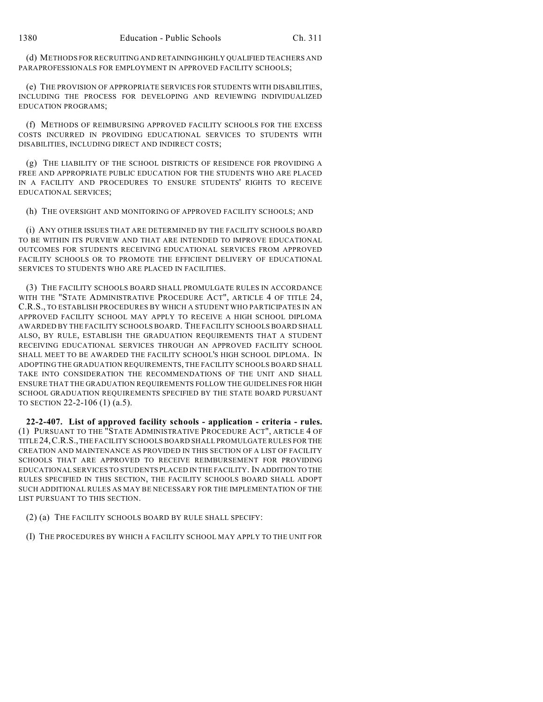(d) METHODS FOR RECRUITING AND RETAINING HIGHLY QUALIFIED TEACHERS AND PARAPROFESSIONALS FOR EMPLOYMENT IN APPROVED FACILITY SCHOOLS;

(e) THE PROVISION OF APPROPRIATE SERVICES FOR STUDENTS WITH DISABILITIES, INCLUDING THE PROCESS FOR DEVELOPING AND REVIEWING INDIVIDUALIZED EDUCATION PROGRAMS;

(f) METHODS OF REIMBURSING APPROVED FACILITY SCHOOLS FOR THE EXCESS COSTS INCURRED IN PROVIDING EDUCATIONAL SERVICES TO STUDENTS WITH DISABILITIES, INCLUDING DIRECT AND INDIRECT COSTS;

(g) THE LIABILITY OF THE SCHOOL DISTRICTS OF RESIDENCE FOR PROVIDING A FREE AND APPROPRIATE PUBLIC EDUCATION FOR THE STUDENTS WHO ARE PLACED IN A FACILITY AND PROCEDURES TO ENSURE STUDENTS' RIGHTS TO RECEIVE EDUCATIONAL SERVICES;

(h) THE OVERSIGHT AND MONITORING OF APPROVED FACILITY SCHOOLS; AND

(i) ANY OTHER ISSUES THAT ARE DETERMINED BY THE FACILITY SCHOOLS BOARD TO BE WITHIN ITS PURVIEW AND THAT ARE INTENDED TO IMPROVE EDUCATIONAL OUTCOMES FOR STUDENTS RECEIVING EDUCATIONAL SERVICES FROM APPROVED FACILITY SCHOOLS OR TO PROMOTE THE EFFICIENT DELIVERY OF EDUCATIONAL SERVICES TO STUDENTS WHO ARE PLACED IN FACILITIES.

(3) THE FACILITY SCHOOLS BOARD SHALL PROMULGATE RULES IN ACCORDANCE WITH THE "STATE ADMINISTRATIVE PROCEDURE ACT", ARTICLE 4 OF TITLE 24, C.R.S., TO ESTABLISH PROCEDURES BY WHICH A STUDENT WHO PARTICIPATES IN AN APPROVED FACILITY SCHOOL MAY APPLY TO RECEIVE A HIGH SCHOOL DIPLOMA AWARDED BY THE FACILITY SCHOOLS BOARD. THE FACILITY SCHOOLS BOARD SHALL ALSO, BY RULE, ESTABLISH THE GRADUATION REQUIREMENTS THAT A STUDENT RECEIVING EDUCATIONAL SERVICES THROUGH AN APPROVED FACILITY SCHOOL SHALL MEET TO BE AWARDED THE FACILITY SCHOOL'S HIGH SCHOOL DIPLOMA. IN ADOPTING THE GRADUATION REQUIREMENTS, THE FACILITY SCHOOLS BOARD SHALL TAKE INTO CONSIDERATION THE RECOMMENDATIONS OF THE UNIT AND SHALL ENSURE THAT THE GRADUATION REQUIREMENTS FOLLOW THE GUIDELINES FOR HIGH SCHOOL GRADUATION REQUIREMENTS SPECIFIED BY THE STATE BOARD PURSUANT TO SECTION 22-2-106 (1) (a.5).

**22-2-407. List of approved facility schools - application - criteria - rules.** (1) PURSUANT TO THE "STATE ADMINISTRATIVE PROCEDURE ACT", ARTICLE 4 OF TITLE 24,C.R.S., THE FACILITY SCHOOLS BOARD SHALL PROMULGATE RULES FOR THE CREATION AND MAINTENANCE AS PROVIDED IN THIS SECTION OF A LIST OF FACILITY SCHOOLS THAT ARE APPROVED TO RECEIVE REIMBURSEMENT FOR PROVIDING EDUCATIONAL SERVICES TO STUDENTS PLACED IN THE FACILITY. IN ADDITION TO THE RULES SPECIFIED IN THIS SECTION, THE FACILITY SCHOOLS BOARD SHALL ADOPT SUCH ADDITIONAL RULES AS MAY BE NECESSARY FOR THE IMPLEMENTATION OF THE LIST PURSUANT TO THIS SECTION.

(2) (a) THE FACILITY SCHOOLS BOARD BY RULE SHALL SPECIFY:

(I) THE PROCEDURES BY WHICH A FACILITY SCHOOL MAY APPLY TO THE UNIT FOR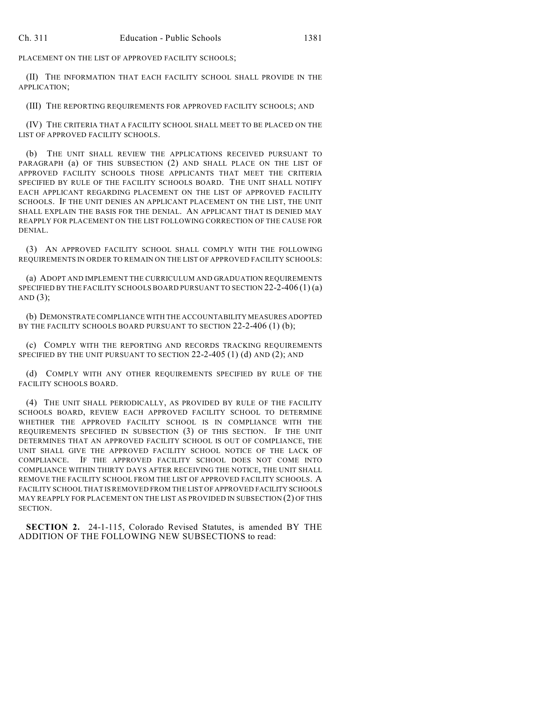PLACEMENT ON THE LIST OF APPROVED FACILITY SCHOOLS;

(II) THE INFORMATION THAT EACH FACILITY SCHOOL SHALL PROVIDE IN THE APPLICATION;

(III) THE REPORTING REQUIREMENTS FOR APPROVED FACILITY SCHOOLS; AND

(IV) THE CRITERIA THAT A FACILITY SCHOOL SHALL MEET TO BE PLACED ON THE LIST OF APPROVED FACILITY SCHOOLS.

(b) THE UNIT SHALL REVIEW THE APPLICATIONS RECEIVED PURSUANT TO PARAGRAPH (a) OF THIS SUBSECTION (2) AND SHALL PLACE ON THE LIST OF APPROVED FACILITY SCHOOLS THOSE APPLICANTS THAT MEET THE CRITERIA SPECIFIED BY RULE OF THE FACILITY SCHOOLS BOARD. THE UNIT SHALL NOTIFY EACH APPLICANT REGARDING PLACEMENT ON THE LIST OF APPROVED FACILITY SCHOOLS. IF THE UNIT DENIES AN APPLICANT PLACEMENT ON THE LIST, THE UNIT SHALL EXPLAIN THE BASIS FOR THE DENIAL. AN APPLICANT THAT IS DENIED MAY REAPPLY FOR PLACEMENT ON THE LIST FOLLOWING CORRECTION OF THE CAUSE FOR DENIAL.

(3) AN APPROVED FACILITY SCHOOL SHALL COMPLY WITH THE FOLLOWING REQUIREMENTS IN ORDER TO REMAIN ON THE LIST OF APPROVED FACILITY SCHOOLS:

(a) ADOPT AND IMPLEMENT THE CURRICULUM AND GRADUATION REQUIREMENTS SPECIFIED BY THE FACILITY SCHOOLS BOARD PURSUANT TO SECTION 22-2-406 (1) (a) AND  $(3)$ ;

(b) DEMONSTRATE COMPLIANCE WITH THE ACCOUNTABILITY MEASURES ADOPTED BY THE FACILITY SCHOOLS BOARD PURSUANT TO SECTION 22-2-406 (1) (b);

(c) COMPLY WITH THE REPORTING AND RECORDS TRACKING REQUIREMENTS SPECIFIED BY THE UNIT PURSUANT TO SECTION 22-2-405 (1) (d) AND (2); AND

(d) COMPLY WITH ANY OTHER REQUIREMENTS SPECIFIED BY RULE OF THE FACILITY SCHOOLS BOARD.

(4) THE UNIT SHALL PERIODICALLY, AS PROVIDED BY RULE OF THE FACILITY SCHOOLS BOARD, REVIEW EACH APPROVED FACILITY SCHOOL TO DETERMINE WHETHER THE APPROVED FACILITY SCHOOL IS IN COMPLIANCE WITH THE REQUIREMENTS SPECIFIED IN SUBSECTION (3) OF THIS SECTION. IF THE UNIT DETERMINES THAT AN APPROVED FACILITY SCHOOL IS OUT OF COMPLIANCE, THE UNIT SHALL GIVE THE APPROVED FACILITY SCHOOL NOTICE OF THE LACK OF COMPLIANCE. IF THE APPROVED FACILITY SCHOOL DOES NOT COME INTO COMPLIANCE WITHIN THIRTY DAYS AFTER RECEIVING THE NOTICE, THE UNIT SHALL REMOVE THE FACILITY SCHOOL FROM THE LIST OF APPROVED FACILITY SCHOOLS. A FACILITY SCHOOL THAT IS REMOVED FROM THE LIST OF APPROVED FACILITY SCHOOLS MAY REAPPLY FOR PLACEMENT ON THE LIST AS PROVIDED IN SUBSECTION (2) OF THIS SECTION.

**SECTION 2.** 24-1-115, Colorado Revised Statutes, is amended BY THE ADDITION OF THE FOLLOWING NEW SUBSECTIONS to read: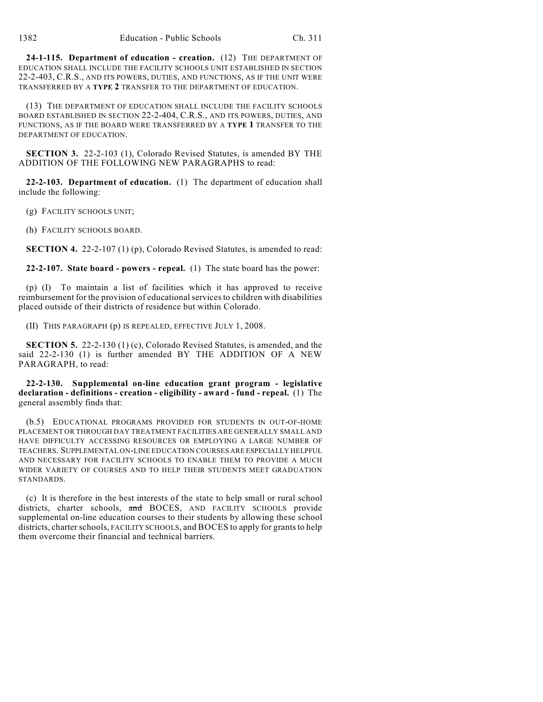**24-1-115. Department of education - creation.** (12) THE DEPARTMENT OF EDUCATION SHALL INCLUDE THE FACILITY SCHOOLS UNIT ESTABLISHED IN SECTION 22-2-403, C.R.S., AND ITS POWERS, DUTIES, AND FUNCTIONS, AS IF THE UNIT WERE TRANSFERRED BY A **TYPE 2** TRANSFER TO THE DEPARTMENT OF EDUCATION.

(13) THE DEPARTMENT OF EDUCATION SHALL INCLUDE THE FACILITY SCHOOLS BOARD ESTABLISHED IN SECTION 22-2-404, C.R.S., AND ITS POWERS, DUTIES, AND FUNCTIONS, AS IF THE BOARD WERE TRANSFERRED BY A **TYPE 1** TRANSFER TO THE DEPARTMENT OF EDUCATION.

**SECTION 3.** 22-2-103 (1), Colorado Revised Statutes, is amended BY THE ADDITION OF THE FOLLOWING NEW PARAGRAPHS to read:

**22-2-103. Department of education.** (1) The department of education shall include the following:

(g) FACILITY SCHOOLS UNIT;

(h) FACILITY SCHOOLS BOARD.

**SECTION 4.** 22-2-107 (1) (p), Colorado Revised Statutes, is amended to read:

**22-2-107. State board - powers - repeal.** (1) The state board has the power:

(p) (I) To maintain a list of facilities which it has approved to receive reimbursement for the provision of educationalservicesto children with disabilities placed outside of their districts of residence but within Colorado.

(II) THIS PARAGRAPH (p) IS REPEALED, EFFECTIVE JULY 1, 2008.

**SECTION 5.** 22-2-130 (1) (c), Colorado Revised Statutes, is amended, and the said 22-2-130 (1) is further amended BY THE ADDITION OF A NEW PARAGRAPH, to read:

**22-2-130. Supplemental on-line education grant program - legislative declaration - definitions - creation - eligibility - award - fund - repeal.** (1) The general assembly finds that:

(b.5) EDUCATIONAL PROGRAMS PROVIDED FOR STUDENTS IN OUT-OF-HOME PLACEMENT OR THROUGH DAY TREATMENT FACILITIES ARE GENERALLY SMALL AND HAVE DIFFICULTY ACCESSING RESOURCES OR EMPLOYING A LARGE NUMBER OF TEACHERS. SUPPLEMENTAL ON-LINE EDUCATION COURSES ARE ESPECIALLY HELPFUL AND NECESSARY FOR FACILITY SCHOOLS TO ENABLE THEM TO PROVIDE A MUCH WIDER VARIETY OF COURSES AND TO HELP THEIR STUDENTS MEET GRADUATION STANDARDS.

(c) It is therefore in the best interests of the state to help small or rural school districts, charter schools, and BOCES, AND FACILITY SCHOOLS provide supplemental on-line education courses to their students by allowing these school districts, charter schools, FACILITY SCHOOLS, and BOCES to apply for grants to help them overcome their financial and technical barriers.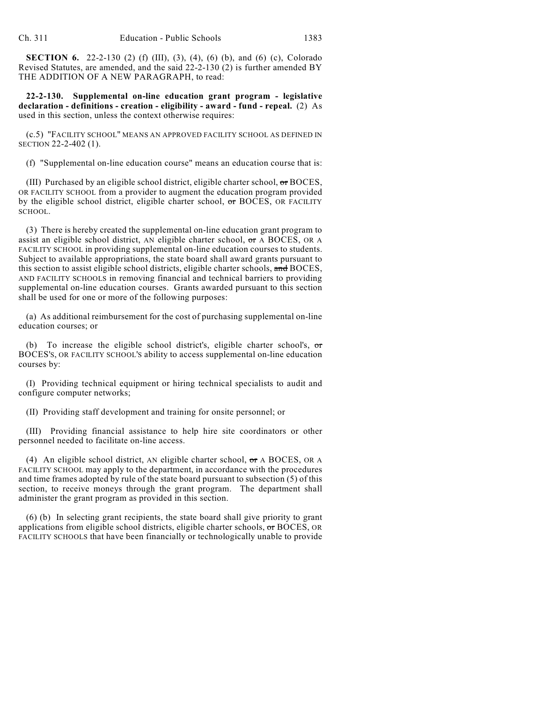**SECTION 6.** 22-2-130 (2) (f) (III), (3), (4), (6) (b), and (6) (c), Colorado Revised Statutes, are amended, and the said 22-2-130 (2) is further amended BY THE ADDITION OF A NEW PARAGRAPH, to read:

**22-2-130. Supplemental on-line education grant program - legislative declaration - definitions - creation - eligibility - award - fund - repeal.** (2) As used in this section, unless the context otherwise requires:

(c.5) "FACILITY SCHOOL" MEANS AN APPROVED FACILITY SCHOOL AS DEFINED IN SECTION 22-2-402 (1).

(f) "Supplemental on-line education course" means an education course that is:

(III) Purchased by an eligible school district, eligible charter school, or BOCES, OR FACILITY SCHOOL from a provider to augment the education program provided by the eligible school district, eligible charter school,  $\sigma$  BOCES, OR FACILITY SCHOOL.

(3) There is hereby created the supplemental on-line education grant program to assist an eligible school district, AN eligible charter school,  $\sigma$ r A BOCES, OR A FACILITY SCHOOL in providing supplemental on-line education courses to students. Subject to available appropriations, the state board shall award grants pursuant to this section to assist eligible school districts, eligible charter schools, and BOCES, AND FACILITY SCHOOLS in removing financial and technical barriers to providing supplemental on-line education courses. Grants awarded pursuant to this section shall be used for one or more of the following purposes:

(a) As additional reimbursement for the cost of purchasing supplemental on-line education courses; or

(b) To increase the eligible school district's, eligible charter school's,  $\sigma$ r BOCES'S, OR FACILITY SCHOOL'S ability to access supplemental on-line education courses by:

(I) Providing technical equipment or hiring technical specialists to audit and configure computer networks;

(II) Providing staff development and training for onsite personnel; or

(III) Providing financial assistance to help hire site coordinators or other personnel needed to facilitate on-line access.

(4) An eligible school district, AN eligible charter school,  $\sigma$ r A BOCES, OR A FACILITY SCHOOL may apply to the department, in accordance with the procedures and time frames adopted by rule of the state board pursuant to subsection (5) of this section, to receive moneys through the grant program. The department shall administer the grant program as provided in this section.

(6) (b) In selecting grant recipients, the state board shall give priority to grant applications from eligible school districts, eligible charter schools, or BOCES, OR FACILITY SCHOOLS that have been financially or technologically unable to provide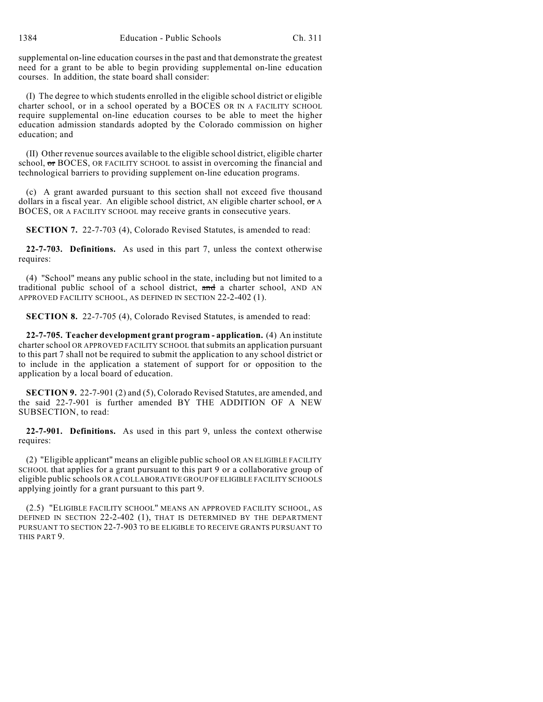supplemental on-line education courses in the past and that demonstrate the greatest need for a grant to be able to begin providing supplemental on-line education courses. In addition, the state board shall consider:

(I) The degree to which students enrolled in the eligible school district or eligible charter school, or in a school operated by a BOCES OR IN A FACILITY SCHOOL require supplemental on-line education courses to be able to meet the higher education admission standards adopted by the Colorado commission on higher education; and

(II) Other revenue sources available to the eligible school district, eligible charter school, or BOCES, OR FACILITY SCHOOL to assist in overcoming the financial and technological barriers to providing supplement on-line education programs.

(c) A grant awarded pursuant to this section shall not exceed five thousand dollars in a fiscal year. An eligible school district, AN eligible charter school,  $\sigma$ r A BOCES, OR A FACILITY SCHOOL may receive grants in consecutive years.

**SECTION 7.** 22-7-703 (4), Colorado Revised Statutes, is amended to read:

**22-7-703. Definitions.** As used in this part 7, unless the context otherwise requires:

(4) "School" means any public school in the state, including but not limited to a traditional public school of a school district, and a charter school, AND AN APPROVED FACILITY SCHOOL, AS DEFINED IN SECTION 22-2-402 (1).

**SECTION 8.** 22-7-705 (4), Colorado Revised Statutes, is amended to read:

**22-7-705. Teacher development grant program - application.** (4) An institute charter school OR APPROVED FACILITY SCHOOL that submits an application pursuant to this part 7 shall not be required to submit the application to any school district or to include in the application a statement of support for or opposition to the application by a local board of education.

**SECTION 9.** 22-7-901 (2) and (5), Colorado Revised Statutes, are amended, and the said 22-7-901 is further amended BY THE ADDITION OF A NEW SUBSECTION, to read:

**22-7-901. Definitions.** As used in this part 9, unless the context otherwise requires:

(2) "Eligible applicant" means an eligible public school OR AN ELIGIBLE FACILITY SCHOOL that applies for a grant pursuant to this part 9 or a collaborative group of eligible public schools OR A COLLABORATIVE GROUP OF ELIGIBLE FACILITY SCHOOLS applying jointly for a grant pursuant to this part 9.

(2.5) "ELIGIBLE FACILITY SCHOOL" MEANS AN APPROVED FACILITY SCHOOL, AS DEFINED IN SECTION 22-2-402 (1), THAT IS DETERMINED BY THE DEPARTMENT PURSUANT TO SECTION 22-7-903 TO BE ELIGIBLE TO RECEIVE GRANTS PURSUANT TO THIS PART 9.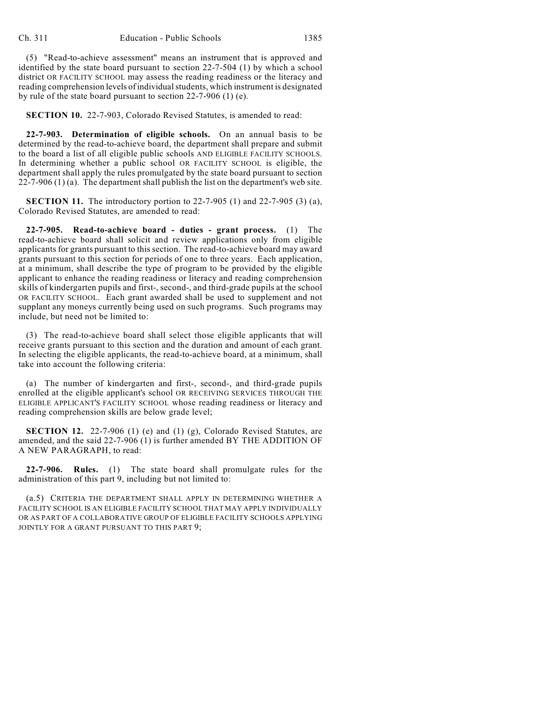(5) "Read-to-achieve assessment" means an instrument that is approved and identified by the state board pursuant to section 22-7-504 (1) by which a school district OR FACILITY SCHOOL may assess the reading readiness or the literacy and reading comprehension levels of individual students, which instrument is designated by rule of the state board pursuant to section 22-7-906 (1) (e).

**SECTION 10.** 22-7-903, Colorado Revised Statutes, is amended to read:

**22-7-903. Determination of eligible schools.** On an annual basis to be determined by the read-to-achieve board, the department shall prepare and submit to the board a list of all eligible public schools AND ELIGIBLE FACILITY SCHOOLS. In determining whether a public school OR FACILITY SCHOOL is eligible, the department shall apply the rules promulgated by the state board pursuant to section  $22-7-906(1)(a)$ . The department shall publish the list on the department's web site.

**SECTION 11.** The introductory portion to 22-7-905 (1) and 22-7-905 (3) (a), Colorado Revised Statutes, are amended to read:

**22-7-905. Read-to-achieve board - duties - grant process.** (1) The read-to-achieve board shall solicit and review applications only from eligible applicants for grants pursuant to this section. The read-to-achieve board may award grants pursuant to this section for periods of one to three years. Each application, at a minimum, shall describe the type of program to be provided by the eligible applicant to enhance the reading readiness or literacy and reading comprehension skills of kindergarten pupils and first-, second-, and third-grade pupils at the school OR FACILITY SCHOOL. Each grant awarded shall be used to supplement and not supplant any moneys currently being used on such programs. Such programs may include, but need not be limited to:

(3) The read-to-achieve board shall select those eligible applicants that will receive grants pursuant to this section and the duration and amount of each grant. In selecting the eligible applicants, the read-to-achieve board, at a minimum, shall take into account the following criteria:

(a) The number of kindergarten and first-, second-, and third-grade pupils enrolled at the eligible applicant's school OR RECEIVING SERVICES THROUGH THE ELIGIBLE APPLICANT'S FACILITY SCHOOL whose reading readiness or literacy and reading comprehension skills are below grade level;

**SECTION 12.** 22-7-906 (1) (e) and (1) (g), Colorado Revised Statutes, are amended, and the said 22-7-906 (1) is further amended BY THE ADDITION OF A NEW PARAGRAPH, to read:

**22-7-906. Rules.** (1) The state board shall promulgate rules for the administration of this part 9, including but not limited to:

(a.5) CRITERIA THE DEPARTMENT SHALL APPLY IN DETERMINING WHETHER A FACILITY SCHOOL IS AN ELIGIBLE FACILITY SCHOOL THAT MAY APPLY INDIVIDUALLY OR AS PART OF A COLLABORATIVE GROUP OF ELIGIBLE FACILITY SCHOOLS APPLYING JOINTLY FOR A GRANT PURSUANT TO THIS PART 9;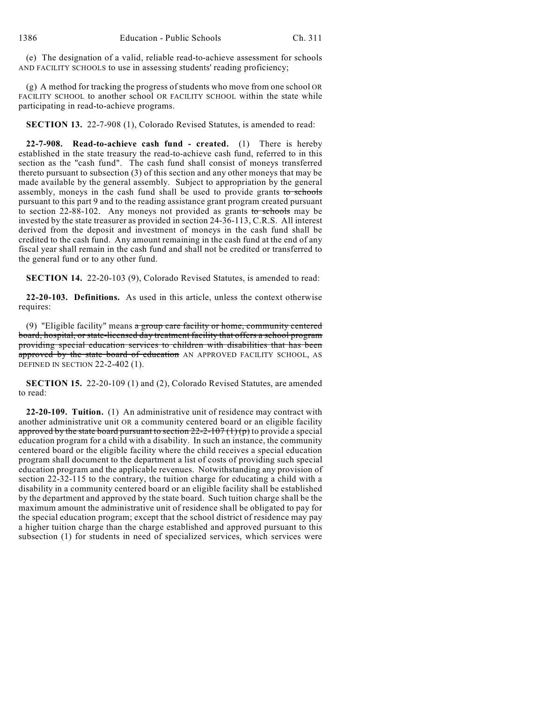(e) The designation of a valid, reliable read-to-achieve assessment for schools AND FACILITY SCHOOLS to use in assessing students' reading proficiency;

(g) A method for tracking the progress of students who move from one school OR FACILITY SCHOOL to another school OR FACILITY SCHOOL within the state while participating in read-to-achieve programs.

**SECTION 13.** 22-7-908 (1), Colorado Revised Statutes, is amended to read:

**22-7-908. Read-to-achieve cash fund - created.** (1) There is hereby established in the state treasury the read-to-achieve cash fund, referred to in this section as the "cash fund". The cash fund shall consist of moneys transferred thereto pursuant to subsection (3) of this section and any other moneys that may be made available by the general assembly. Subject to appropriation by the general assembly, moneys in the cash fund shall be used to provide grants to schools pursuant to this part 9 and to the reading assistance grant program created pursuant to section 22-88-102. Any moneys not provided as grants to schools may be invested by the state treasurer as provided in section 24-36-113, C.R.S. All interest derived from the deposit and investment of moneys in the cash fund shall be credited to the cash fund. Any amount remaining in the cash fund at the end of any fiscal year shall remain in the cash fund and shall not be credited or transferred to the general fund or to any other fund.

**SECTION 14.** 22-20-103 (9), Colorado Revised Statutes, is amended to read:

**22-20-103. Definitions.** As used in this article, unless the context otherwise requires:

(9) "Eligible facility" means a group care facility or home, community centered board, hospital, or state-licensed day treatment facility that offers a school program providing special education services to children with disabilities that has been approved by the state board of education AN APPROVED FACILITY SCHOOL, AS DEFINED IN SECTION 22-2-402 (1).

**SECTION 15.** 22-20-109 (1) and (2), Colorado Revised Statutes, are amended to read:

**22-20-109. Tuition.** (1) An administrative unit of residence may contract with another administrative unit OR a community centered board or an eligible facility approved by the state board pursuant to section  $22-2-107(1)(p)$  to provide a special education program for a child with a disability. In such an instance, the community centered board or the eligible facility where the child receives a special education program shall document to the department a list of costs of providing such special education program and the applicable revenues. Notwithstanding any provision of section 22-32-115 to the contrary, the tuition charge for educating a child with a disability in a community centered board or an eligible facility shall be established by the department and approved by the state board. Such tuition charge shall be the maximum amount the administrative unit of residence shall be obligated to pay for the special education program; except that the school district of residence may pay a higher tuition charge than the charge established and approved pursuant to this subsection (1) for students in need of specialized services, which services were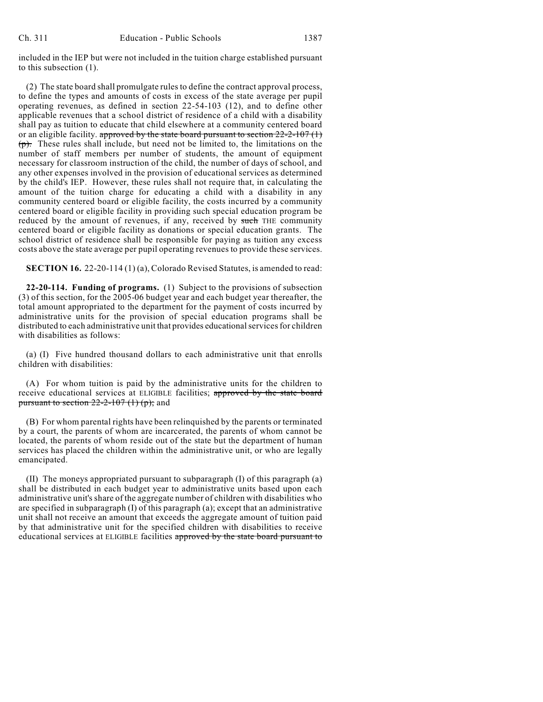included in the IEP but were not included in the tuition charge established pursuant to this subsection (1).

(2) The state board shall promulgate rules to define the contract approval process, to define the types and amounts of costs in excess of the state average per pupil operating revenues, as defined in section 22-54-103 (12), and to define other applicable revenues that a school district of residence of a child with a disability shall pay as tuition to educate that child elsewhere at a community centered board or an eligible facility. approved by the state board pursuant to section  $22-2-107(1)$ (p). These rules shall include, but need not be limited to, the limitations on the number of staff members per number of students, the amount of equipment necessary for classroom instruction of the child, the number of days of school, and any other expenses involved in the provision of educational services as determined by the child's IEP. However, these rules shall not require that, in calculating the amount of the tuition charge for educating a child with a disability in any community centered board or eligible facility, the costs incurred by a community centered board or eligible facility in providing such special education program be reduced by the amount of revenues, if any, received by such THE community centered board or eligible facility as donations or special education grants. The school district of residence shall be responsible for paying as tuition any excess costs above the state average per pupil operating revenues to provide these services.

**SECTION 16.** 22-20-114 (1) (a), Colorado Revised Statutes, is amended to read:

**22-20-114. Funding of programs.** (1) Subject to the provisions of subsection (3) of this section, for the 2005-06 budget year and each budget year thereafter, the total amount appropriated to the department for the payment of costs incurred by administrative units for the provision of special education programs shall be distributed to each administrative unit that provides educational services for children with disabilities as follows:

(a) (I) Five hundred thousand dollars to each administrative unit that enrolls children with disabilities:

(A) For whom tuition is paid by the administrative units for the children to receive educational services at ELIGIBLE facilities; approved by the state board pursuant to section  $22-2-107(1)$  (p); and

(B) For whom parental rights have been relinquished by the parents or terminated by a court, the parents of whom are incarcerated, the parents of whom cannot be located, the parents of whom reside out of the state but the department of human services has placed the children within the administrative unit, or who are legally emancipated.

(II) The moneys appropriated pursuant to subparagraph (I) of this paragraph (a) shall be distributed in each budget year to administrative units based upon each administrative unit's share of the aggregate number of children with disabilities who are specified in subparagraph (I) of this paragraph (a); except that an administrative unit shall not receive an amount that exceeds the aggregate amount of tuition paid by that administrative unit for the specified children with disabilities to receive educational services at ELIGIBLE facilities approved by the state board pursuant to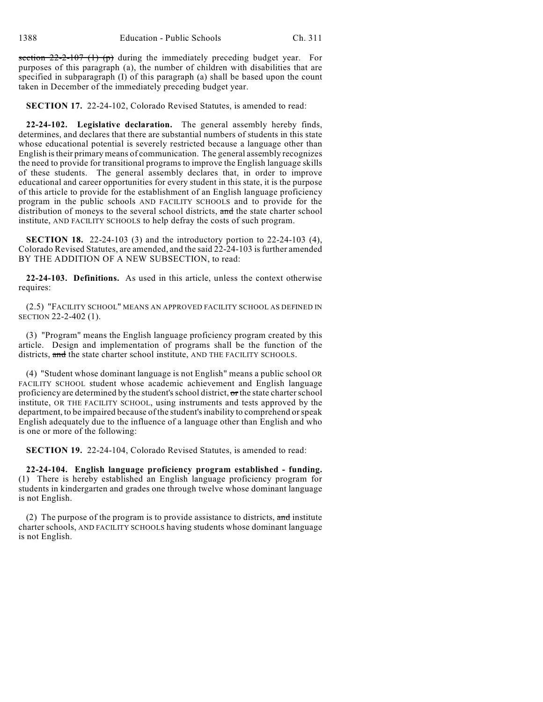section  $22-2-107$  (1) (p) during the immediately preceding budget year. For purposes of this paragraph (a), the number of children with disabilities that are specified in subparagraph (I) of this paragraph (a) shall be based upon the count taken in December of the immediately preceding budget year.

**SECTION 17.** 22-24-102, Colorado Revised Statutes, is amended to read:

**22-24-102. Legislative declaration.** The general assembly hereby finds, determines, and declares that there are substantial numbers of students in this state whose educational potential is severely restricted because a language other than English is their primary means of communication. The general assembly recognizes the need to provide for transitional programs to improve the English language skills of these students. The general assembly declares that, in order to improve educational and career opportunities for every student in this state, it is the purpose of this article to provide for the establishment of an English language proficiency program in the public schools AND FACILITY SCHOOLS and to provide for the distribution of moneys to the several school districts, and the state charter school institute, AND FACILITY SCHOOLS to help defray the costs of such program.

**SECTION 18.** 22-24-103 (3) and the introductory portion to 22-24-103 (4), Colorado Revised Statutes, are amended, and the said 22-24-103 is further amended BY THE ADDITION OF A NEW SUBSECTION, to read:

**22-24-103. Definitions.** As used in this article, unless the context otherwise requires:

(2.5) "FACILITY SCHOOL" MEANS AN APPROVED FACILITY SCHOOL AS DEFINED IN SECTION 22-2-402 (1).

(3) "Program" means the English language proficiency program created by this article. Design and implementation of programs shall be the function of the districts, and the state charter school institute, AND THE FACILITY SCHOOLS.

(4) "Student whose dominant language is not English" means a public school OR FACILITY SCHOOL student whose academic achievement and English language proficiency are determined by the student's school district,  $\sigma$ r the state charter school institute, OR THE FACILITY SCHOOL, using instruments and tests approved by the department, to be impaired because of the student's inability to comprehend or speak English adequately due to the influence of a language other than English and who is one or more of the following:

**SECTION 19.** 22-24-104, Colorado Revised Statutes, is amended to read:

**22-24-104. English language proficiency program established - funding.** (1) There is hereby established an English language proficiency program for students in kindergarten and grades one through twelve whose dominant language is not English.

(2) The purpose of the program is to provide assistance to districts,  $\frac{1}{\text{and}}$  institute charter schools, AND FACILITY SCHOOLS having students whose dominant language is not English.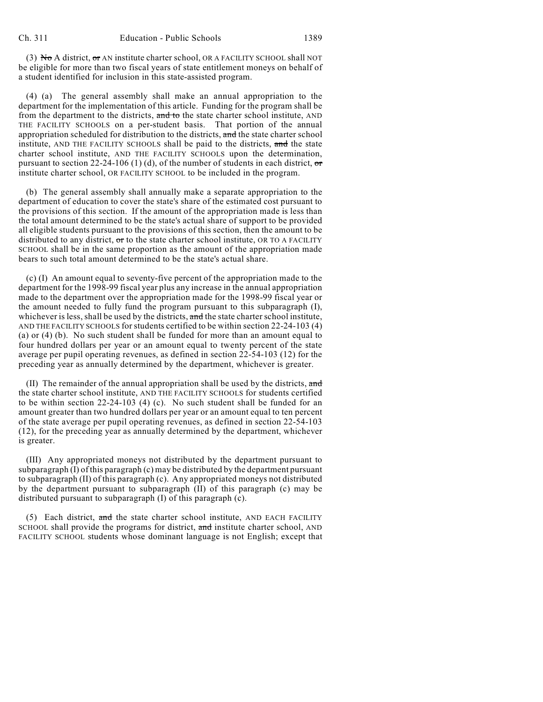(3) No A district, or AN institute charter school, OR A FACILITY SCHOOL shall NOT be eligible for more than two fiscal years of state entitlement moneys on behalf of a student identified for inclusion in this state-assisted program.

(4) (a) The general assembly shall make an annual appropriation to the department for the implementation of this article. Funding for the program shall be from the department to the districts, and to the state charter school institute, AND THE FACILITY SCHOOLS on a per-student basis. That portion of the annual appropriation scheduled for distribution to the districts, and the state charter school institute, AND THE FACILITY SCHOOLS shall be paid to the districts, and the state charter school institute, AND THE FACILITY SCHOOLS upon the determination, pursuant to section 22-24-106 (1) (d), of the number of students in each district,  $\sigma$ institute charter school, OR FACILITY SCHOOL to be included in the program.

(b) The general assembly shall annually make a separate appropriation to the department of education to cover the state's share of the estimated cost pursuant to the provisions of this section. If the amount of the appropriation made is less than the total amount determined to be the state's actual share of support to be provided all eligible students pursuant to the provisions of this section, then the amount to be distributed to any district,  $\sigma$ r to the state charter school institute, OR TO A FACILITY SCHOOL shall be in the same proportion as the amount of the appropriation made bears to such total amount determined to be the state's actual share.

(c) (I) An amount equal to seventy-five percent of the appropriation made to the department for the 1998-99 fiscal year plus any increase in the annual appropriation made to the department over the appropriation made for the 1998-99 fiscal year or the amount needed to fully fund the program pursuant to this subparagraph (I), whichever is less, shall be used by the districts, and the state charter school institute, AND THE FACILITY SCHOOLS for students certified to be within section 22-24-103 (4) (a) or (4) (b). No such student shall be funded for more than an amount equal to four hundred dollars per year or an amount equal to twenty percent of the state average per pupil operating revenues, as defined in section 22-54-103 (12) for the preceding year as annually determined by the department, whichever is greater.

(II) The remainder of the annual appropriation shall be used by the districts,  $\overline{\mathbf{and}}$ the state charter school institute, AND THE FACILITY SCHOOLS for students certified to be within section 22-24-103 (4) (c). No such student shall be funded for an amount greater than two hundred dollars per year or an amount equal to ten percent of the state average per pupil operating revenues, as defined in section 22-54-103 (12), for the preceding year as annually determined by the department, whichever is greater.

(III) Any appropriated moneys not distributed by the department pursuant to subparagraph (I) of this paragraph (c) may be distributed by the department pursuant to subparagraph (II) of this paragraph (c). Any appropriated moneys not distributed by the department pursuant to subparagraph (II) of this paragraph (c) may be distributed pursuant to subparagraph (I) of this paragraph (c).

(5) Each district, and the state charter school institute, AND EACH FACILITY SCHOOL shall provide the programs for district, and institute charter school, AND FACILITY SCHOOL students whose dominant language is not English; except that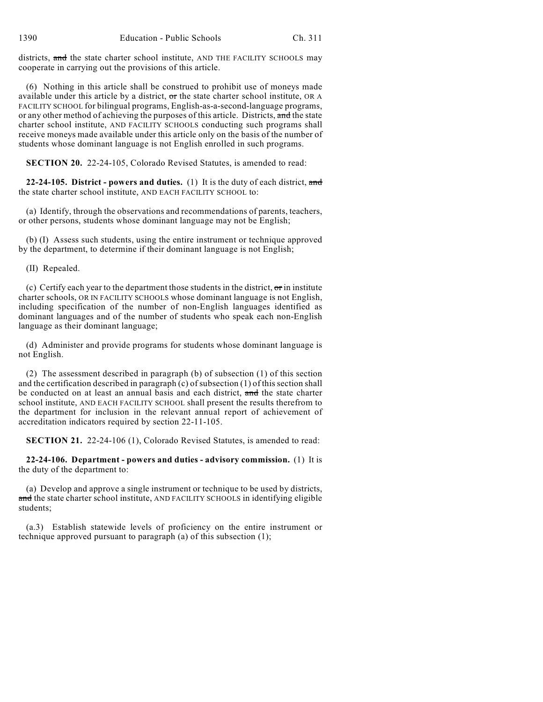districts, and the state charter school institute, AND THE FACILITY SCHOOLS may cooperate in carrying out the provisions of this article.

(6) Nothing in this article shall be construed to prohibit use of moneys made available under this article by a district,  $\sigma$ r the state charter school institute, OR A FACILITY SCHOOL for bilingual programs, English-as-a-second-language programs, or any other method of achieving the purposes of this article. Districts, and the state charter school institute, AND FACILITY SCHOOLS conducting such programs shall receive moneys made available under this article only on the basis of the number of students whose dominant language is not English enrolled in such programs.

**SECTION 20.** 22-24-105, Colorado Revised Statutes, is amended to read:

**22-24-105. District - powers and duties.** (1) It is the duty of each district, and the state charter school institute, AND EACH FACILITY SCHOOL to:

(a) Identify, through the observations and recommendations of parents, teachers, or other persons, students whose dominant language may not be English;

(b) (I) Assess such students, using the entire instrument or technique approved by the department, to determine if their dominant language is not English;

(II) Repealed.

(c) Certify each year to the department those students in the district,  $\sigma r$  in institute charter schools, OR IN FACILITY SCHOOLS whose dominant language is not English, including specification of the number of non-English languages identified as dominant languages and of the number of students who speak each non-English language as their dominant language;

(d) Administer and provide programs for students whose dominant language is not English.

(2) The assessment described in paragraph (b) of subsection (1) of this section and the certification described in paragraph (c) of subsection (1) of this section shall be conducted on at least an annual basis and each district, and the state charter school institute, AND EACH FACILITY SCHOOL shall present the results therefrom to the department for inclusion in the relevant annual report of achievement of accreditation indicators required by section 22-11-105.

**SECTION 21.** 22-24-106 (1), Colorado Revised Statutes, is amended to read:

**22-24-106. Department - powers and duties - advisory commission.** (1) It is the duty of the department to:

(a) Develop and approve a single instrument or technique to be used by districts, and the state charter school institute, AND FACILITY SCHOOLS in identifying eligible students;

(a.3) Establish statewide levels of proficiency on the entire instrument or technique approved pursuant to paragraph (a) of this subsection (1);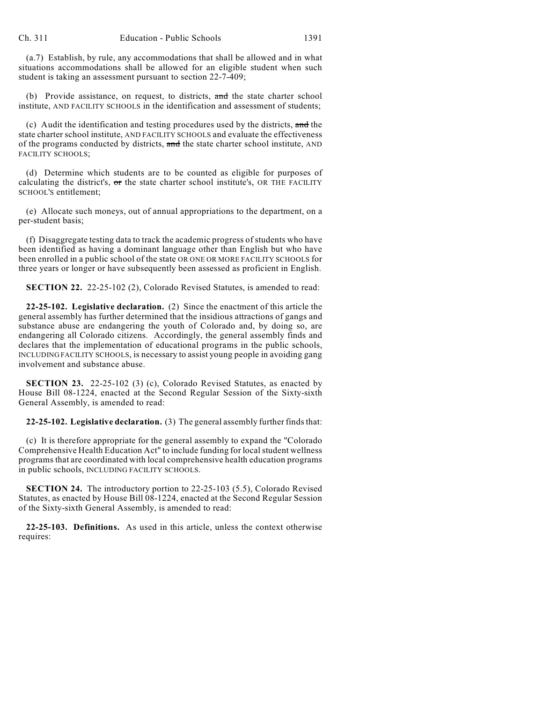(a.7) Establish, by rule, any accommodations that shall be allowed and in what situations accommodations shall be allowed for an eligible student when such student is taking an assessment pursuant to section 22-7-409;

(b) Provide assistance, on request, to districts, and the state charter school institute, AND FACILITY SCHOOLS in the identification and assessment of students;

(c) Audit the identification and testing procedures used by the districts,  $\alpha$ nd the state charter school institute, AND FACILITY SCHOOLS and evaluate the effectiveness of the programs conducted by districts, and the state charter school institute, AND FACILITY SCHOOLS;

(d) Determine which students are to be counted as eligible for purposes of calculating the district's, or the state charter school institute's, OR THE FACILITY SCHOOL'S entitlement;

(e) Allocate such moneys, out of annual appropriations to the department, on a per-student basis;

(f) Disaggregate testing data to track the academic progress of students who have been identified as having a dominant language other than English but who have been enrolled in a public school of the state OR ONE OR MORE FACILITY SCHOOLS for three years or longer or have subsequently been assessed as proficient in English.

**SECTION 22.** 22-25-102 (2), Colorado Revised Statutes, is amended to read:

**22-25-102. Legislative declaration.** (2) Since the enactment of this article the general assembly has further determined that the insidious attractions of gangs and substance abuse are endangering the youth of Colorado and, by doing so, are endangering all Colorado citizens. Accordingly, the general assembly finds and declares that the implementation of educational programs in the public schools, INCLUDING FACILITY SCHOOLS, is necessary to assist young people in avoiding gang involvement and substance abuse.

**SECTION 23.** 22-25-102 (3) (c), Colorado Revised Statutes, as enacted by House Bill 08-1224, enacted at the Second Regular Session of the Sixty-sixth General Assembly, is amended to read:

**22-25-102. Legislative declaration.** (3) The general assembly further finds that:

(c) It is therefore appropriate for the general assembly to expand the "Colorado Comprehensive Health Education Act" to include funding for local student wellness programs that are coordinated with local comprehensive health education programs in public schools, INCLUDING FACILITY SCHOOLS.

**SECTION 24.** The introductory portion to 22-25-103 (5.5), Colorado Revised Statutes, as enacted by House Bill 08-1224, enacted at the Second Regular Session of the Sixty-sixth General Assembly, is amended to read:

**22-25-103. Definitions.** As used in this article, unless the context otherwise requires: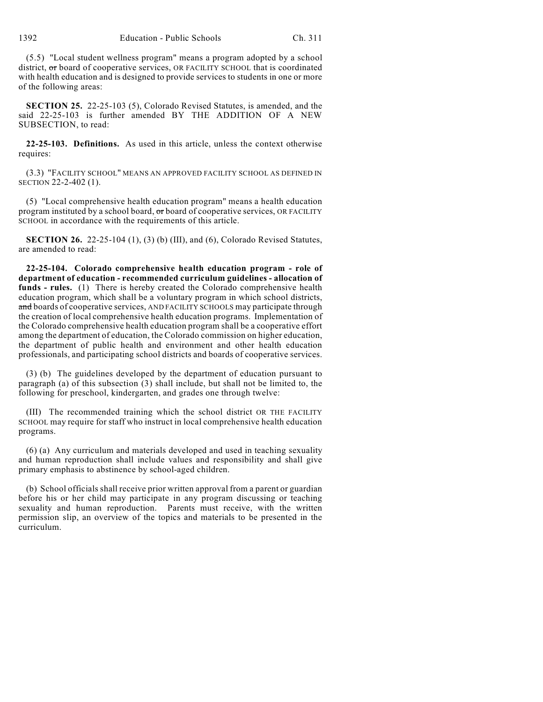(5.5) "Local student wellness program" means a program adopted by a school district, or board of cooperative services, OR FACILITY SCHOOL that is coordinated with health education and is designed to provide services to students in one or more of the following areas:

**SECTION 25.** 22-25-103 (5), Colorado Revised Statutes, is amended, and the said 22-25-103 is further amended BY THE ADDITION OF A NEW SUBSECTION, to read:

**22-25-103. Definitions.** As used in this article, unless the context otherwise requires:

(3.3) "FACILITY SCHOOL" MEANS AN APPROVED FACILITY SCHOOL AS DEFINED IN SECTION 22-2-402 (1).

(5) "Local comprehensive health education program" means a health education program instituted by a school board,  $\sigma$ r board of cooperative services, OR FACILITY SCHOOL in accordance with the requirements of this article.

**SECTION 26.** 22-25-104 (1), (3) (b) (III), and (6), Colorado Revised Statutes, are amended to read:

**22-25-104. Colorado comprehensive health education program - role of department of education - recommended curriculum guidelines - allocation of funds - rules.** (1) There is hereby created the Colorado comprehensive health education program, which shall be a voluntary program in which school districts, and boards of cooperative services, AND FACILITY SCHOOLS may participate through the creation of local comprehensive health education programs. Implementation of the Colorado comprehensive health education program shall be a cooperative effort among the department of education, the Colorado commission on higher education, the department of public health and environment and other health education professionals, and participating school districts and boards of cooperative services.

(3) (b) The guidelines developed by the department of education pursuant to paragraph (a) of this subsection (3) shall include, but shall not be limited to, the following for preschool, kindergarten, and grades one through twelve:

(III) The recommended training which the school district OR THE FACILITY SCHOOL may require for staff who instruct in local comprehensive health education programs.

(6) (a) Any curriculum and materials developed and used in teaching sexuality and human reproduction shall include values and responsibility and shall give primary emphasis to abstinence by school-aged children.

(b) School officials shall receive prior written approval from a parent or guardian before his or her child may participate in any program discussing or teaching sexuality and human reproduction. Parents must receive, with the written permission slip, an overview of the topics and materials to be presented in the curriculum.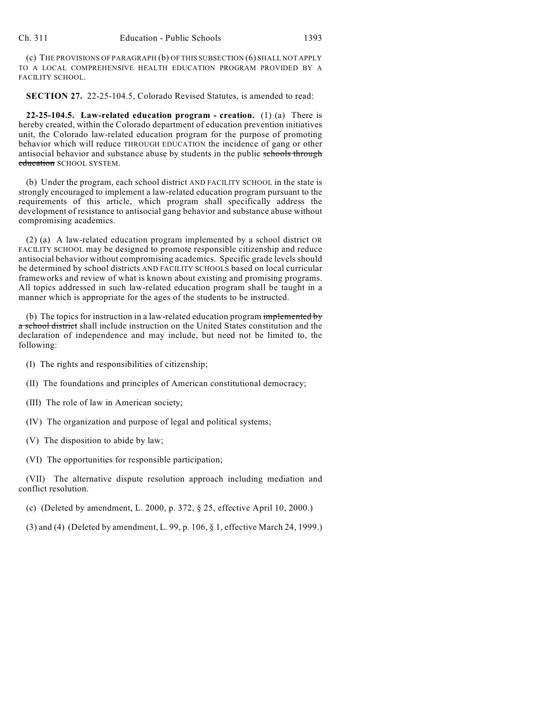(c) THE PROVISIONS OF PARAGRAPH (b) OF THIS SUBSECTION (6) SHALL NOT APPLY TO A LOCAL COMPREHENSIVE HEALTH EDUCATION PROGRAM PROVIDED BY A FACILITY SCHOOL.

**SECTION 27.** 22-25-104.5, Colorado Revised Statutes, is amended to read:

**22-25-104.5. Law-related education program - creation.** (1) (a) There is hereby created, within the Colorado department of education prevention initiatives unit, the Colorado law-related education program for the purpose of promoting behavior which will reduce THROUGH EDUCATION the incidence of gang or other antisocial behavior and substance abuse by students in the public schools through education SCHOOL SYSTEM.

(b) Under the program, each school district AND FACILITY SCHOOL in the state is strongly encouraged to implement a law-related education program pursuant to the requirements of this article, which program shall specifically address the development of resistance to antisocial gang behavior and substance abuse without compromising academics.

(2) (a) A law-related education program implemented by a school district OR FACILITY SCHOOL may be designed to promote responsible citizenship and reduce antisocial behavior without compromising academics. Specific grade levels should be determined by school districts AND FACILITY SCHOOLS based on local curricular frameworks and review of what is known about existing and promising programs. All topics addressed in such law-related education program shall be taught in a manner which is appropriate for the ages of the students to be instructed.

(b) The topics for instruction in a law-related education program implemented by a school district shall include instruction on the United States constitution and the declaration of independence and may include, but need not be limited to, the following:

- (I) The rights and responsibilities of citizenship;
- (II) The foundations and principles of American constitutional democracy;
- (III) The role of law in American society;
- (IV) The organization and purpose of legal and political systems;
- (V) The disposition to abide by law;
- (VI) The opportunities for responsible participation;

(VII) The alternative dispute resolution approach including mediation and conflict resolution.

(c) (Deleted by amendment, L. 2000, p. 372, § 25, effective April 10, 2000.)

(3) and (4) (Deleted by amendment, L. 99, p. 106, § 1, effective March 24, 1999.)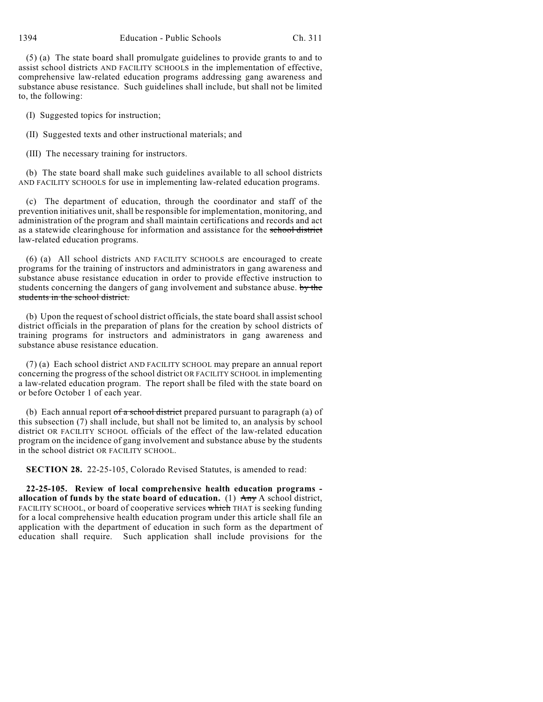(5) (a) The state board shall promulgate guidelines to provide grants to and to assist school districts AND FACILITY SCHOOLS in the implementation of effective, comprehensive law-related education programs addressing gang awareness and substance abuse resistance. Such guidelines shall include, but shall not be limited

(I) Suggested topics for instruction;

(II) Suggested texts and other instructional materials; and

(III) The necessary training for instructors.

(b) The state board shall make such guidelines available to all school districts AND FACILITY SCHOOLS for use in implementing law-related education programs.

(c) The department of education, through the coordinator and staff of the prevention initiatives unit, shall be responsible for implementation, monitoring, and administration of the program and shall maintain certifications and records and act as a statewide clearinghouse for information and assistance for the school district law-related education programs.

(6) (a) All school districts AND FACILITY SCHOOLS are encouraged to create programs for the training of instructors and administrators in gang awareness and substance abuse resistance education in order to provide effective instruction to students concerning the dangers of gang involvement and substance abuse. by the students in the school district.

(b) Upon the request of school district officials, the state board shall assist school district officials in the preparation of plans for the creation by school districts of training programs for instructors and administrators in gang awareness and substance abuse resistance education.

(7) (a) Each school district AND FACILITY SCHOOL may prepare an annual report concerning the progress of the school district OR FACILITY SCHOOL in implementing a law-related education program. The report shall be filed with the state board on or before October 1 of each year.

(b) Each annual report  $of a school district$  prepared pursuant to paragraph (a) of this subsection (7) shall include, but shall not be limited to, an analysis by school district OR FACILITY SCHOOL officials of the effect of the law-related education program on the incidence of gang involvement and substance abuse by the students in the school district OR FACILITY SCHOOL.

**SECTION 28.** 22-25-105, Colorado Revised Statutes, is amended to read:

**22-25-105. Review of local comprehensive health education programs allocation of funds by the state board of education.** (1)  $\overrightarrow{Any}$  A school district, FACILITY SCHOOL, or board of cooperative services which THAT is seeking funding for a local comprehensive health education program under this article shall file an application with the department of education in such form as the department of education shall require. Such application shall include provisions for the

to, the following: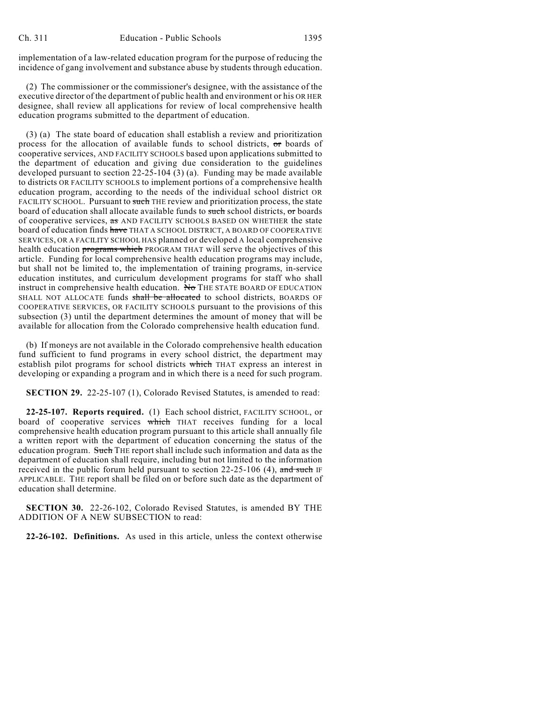implementation of a law-related education program for the purpose of reducing the incidence of gang involvement and substance abuse by students through education.

(2) The commissioner or the commissioner's designee, with the assistance of the executive director of the department of public health and environment or his OR HER designee, shall review all applications for review of local comprehensive health education programs submitted to the department of education.

(3) (a) The state board of education shall establish a review and prioritization process for the allocation of available funds to school districts,  $\sigma$ r boards of cooperative services, AND FACILITY SCHOOLS based upon applications submitted to the department of education and giving due consideration to the guidelines developed pursuant to section  $22-25-104(3)$  (a). Funding may be made available to districts OR FACILITY SCHOOLS to implement portions of a comprehensive health education program, according to the needs of the individual school district OR FACILITY SCHOOL. Pursuant to such THE review and prioritization process, the state board of education shall allocate available funds to such school districts, or boards of cooperative services, as AND FACILITY SCHOOLS BASED ON WHETHER the state board of education finds have THAT A SCHOOL DISTRICT, A BOARD OF COOPERATIVE SERVICES, OR A FACILITY SCHOOL HAS planned or developed A local comprehensive health education programs which PROGRAM THAT will serve the objectives of this article. Funding for local comprehensive health education programs may include, but shall not be limited to, the implementation of training programs, in-service education institutes, and curriculum development programs for staff who shall instruct in comprehensive health education. No THE STATE BOARD OF EDUCATION SHALL NOT ALLOCATE funds shall be allocated to school districts, BOARDS OF COOPERATIVE SERVICES, OR FACILITY SCHOOLS pursuant to the provisions of this subsection (3) until the department determines the amount of money that will be available for allocation from the Colorado comprehensive health education fund.

(b) If moneys are not available in the Colorado comprehensive health education fund sufficient to fund programs in every school district, the department may establish pilot programs for school districts which THAT express an interest in developing or expanding a program and in which there is a need for such program.

**SECTION 29.** 22-25-107 (1), Colorado Revised Statutes, is amended to read:

**22-25-107. Reports required.** (1) Each school district, FACILITY SCHOOL, or board of cooperative services which THAT receives funding for a local comprehensive health education program pursuant to this article shall annually file a written report with the department of education concerning the status of the education program. Such THE report shall include such information and data as the department of education shall require, including but not limited to the information received in the public forum held pursuant to section  $22-25-106$  (4), and such IF APPLICABLE. THE report shall be filed on or before such date as the department of education shall determine.

**SECTION 30.** 22-26-102, Colorado Revised Statutes, is amended BY THE ADDITION OF A NEW SUBSECTION to read:

**22-26-102. Definitions.** As used in this article, unless the context otherwise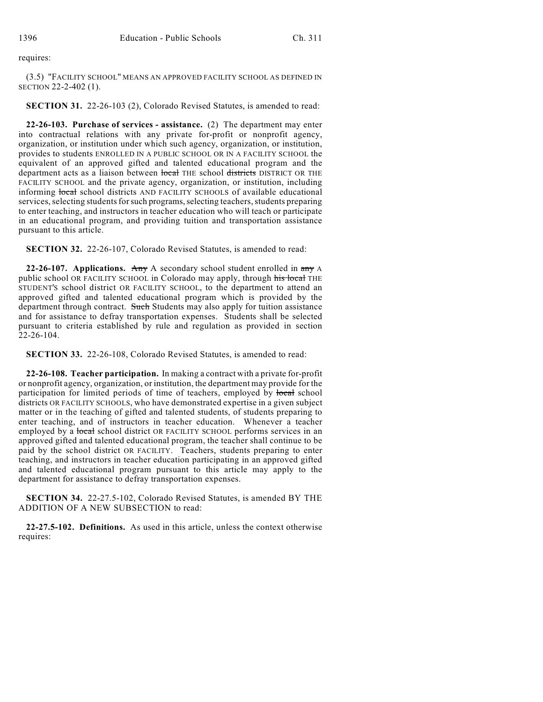requires:

(3.5) "FACILITY SCHOOL" MEANS AN APPROVED FACILITY SCHOOL AS DEFINED IN SECTION 22-2-402 (1).

**SECTION 31.** 22-26-103 (2), Colorado Revised Statutes, is amended to read:

**22-26-103. Purchase of services - assistance.** (2) The department may enter into contractual relations with any private for-profit or nonprofit agency, organization, or institution under which such agency, organization, or institution, provides to students ENROLLED IN A PUBLIC SCHOOL OR IN A FACILITY SCHOOL the equivalent of an approved gifted and talented educational program and the department acts as a liaison between local THE school districts DISTRICT OR THE FACILITY SCHOOL and the private agency, organization, or institution, including informing local school districts AND FACILITY SCHOOLS of available educational services, selecting students for such programs, selecting teachers, students preparing to enter teaching, and instructors in teacher education who will teach or participate in an educational program, and providing tuition and transportation assistance pursuant to this article.

**SECTION 32.** 22-26-107, Colorado Revised Statutes, is amended to read:

**22-26-107. Applications.** Any A secondary school student enrolled in any A public school OR FACILITY SCHOOL in Colorado may apply, through his local THE STUDENT'S school district OR FACILITY SCHOOL, to the department to attend an approved gifted and talented educational program which is provided by the department through contract. Such Students may also apply for tuition assistance and for assistance to defray transportation expenses. Students shall be selected pursuant to criteria established by rule and regulation as provided in section  $22 - 26 - 104$ .

**SECTION 33.** 22-26-108, Colorado Revised Statutes, is amended to read:

**22-26-108. Teacher participation.** In making a contract with a private for-profit or nonprofit agency, organization, or institution, the department may provide for the participation for limited periods of time of teachers, employed by local school districts OR FACILITY SCHOOLS, who have demonstrated expertise in a given subject matter or in the teaching of gifted and talented students, of students preparing to enter teaching, and of instructors in teacher education. Whenever a teacher employed by a local school district OR FACILITY SCHOOL performs services in an approved gifted and talented educational program, the teacher shall continue to be paid by the school district OR FACILITY. Teachers, students preparing to enter teaching, and instructors in teacher education participating in an approved gifted and talented educational program pursuant to this article may apply to the department for assistance to defray transportation expenses.

**SECTION 34.** 22-27.5-102, Colorado Revised Statutes, is amended BY THE ADDITION OF A NEW SUBSECTION to read:

**22-27.5-102. Definitions.** As used in this article, unless the context otherwise requires: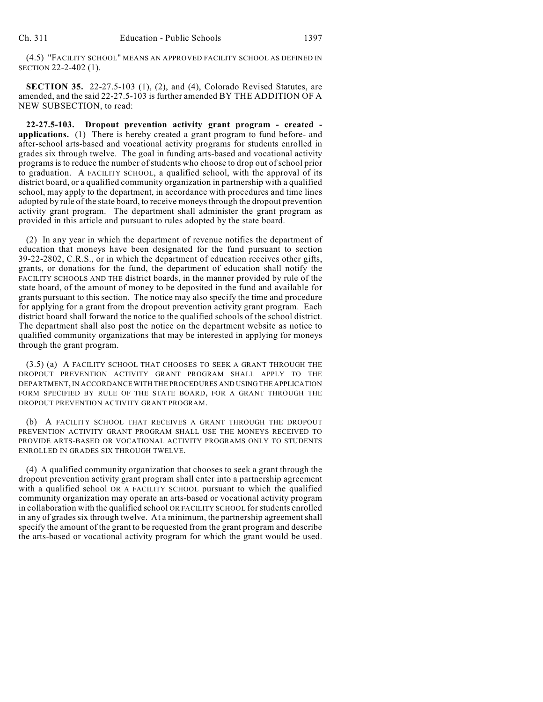(4.5) "FACILITY SCHOOL" MEANS AN APPROVED FACILITY SCHOOL AS DEFINED IN SECTION 22-2-402 (1).

**SECTION 35.** 22-27.5-103 (1), (2), and (4), Colorado Revised Statutes, are amended, and the said 22-27.5-103 is further amended BY THE ADDITION OF A NEW SUBSECTION, to read:

**22-27.5-103. Dropout prevention activity grant program - created applications.** (1) There is hereby created a grant program to fund before- and after-school arts-based and vocational activity programs for students enrolled in grades six through twelve. The goal in funding arts-based and vocational activity programs is to reduce the number of students who choose to drop out of school prior to graduation. A FACILITY SCHOOL, a qualified school, with the approval of its district board, or a qualified community organization in partnership with a qualified school, may apply to the department, in accordance with procedures and time lines adopted by rule of the state board, to receive moneys through the dropout prevention activity grant program. The department shall administer the grant program as provided in this article and pursuant to rules adopted by the state board.

(2) In any year in which the department of revenue notifies the department of education that moneys have been designated for the fund pursuant to section 39-22-2802, C.R.S., or in which the department of education receives other gifts, grants, or donations for the fund, the department of education shall notify the FACILITY SCHOOLS AND THE district boards, in the manner provided by rule of the state board, of the amount of money to be deposited in the fund and available for grants pursuant to this section. The notice may also specify the time and procedure for applying for a grant from the dropout prevention activity grant program. Each district board shall forward the notice to the qualified schools of the school district. The department shall also post the notice on the department website as notice to qualified community organizations that may be interested in applying for moneys through the grant program.

(3.5) (a) A FACILITY SCHOOL THAT CHOOSES TO SEEK A GRANT THROUGH THE DROPOUT PREVENTION ACTIVITY GRANT PROGRAM SHALL APPLY TO THE DEPARTMENT, IN ACCORDANCE WITH THE PROCEDURES AND USING THE APPLICATION FORM SPECIFIED BY RULE OF THE STATE BOARD, FOR A GRANT THROUGH THE DROPOUT PREVENTION ACTIVITY GRANT PROGRAM.

(b) A FACILITY SCHOOL THAT RECEIVES A GRANT THROUGH THE DROPOUT PREVENTION ACTIVITY GRANT PROGRAM SHALL USE THE MONEYS RECEIVED TO PROVIDE ARTS-BASED OR VOCATIONAL ACTIVITY PROGRAMS ONLY TO STUDENTS ENROLLED IN GRADES SIX THROUGH TWELVE.

(4) A qualified community organization that chooses to seek a grant through the dropout prevention activity grant program shall enter into a partnership agreement with a qualified school OR A FACILITY SCHOOL pursuant to which the qualified community organization may operate an arts-based or vocational activity program in collaboration with the qualified school OR FACILITY SCHOOL for students enrolled in any of grades six through twelve. At a minimum, the partnership agreement shall specify the amount of the grant to be requested from the grant program and describe the arts-based or vocational activity program for which the grant would be used.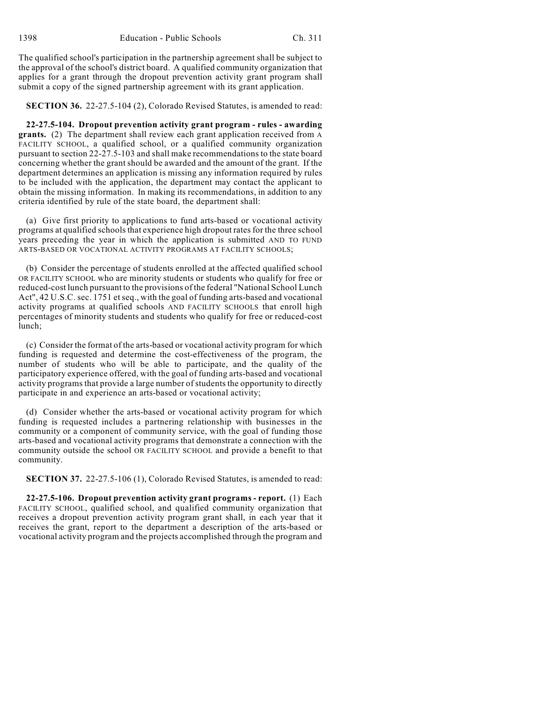The qualified school's participation in the partnership agreement shall be subject to the approval of the school's district board. A qualified community organization that applies for a grant through the dropout prevention activity grant program shall submit a copy of the signed partnership agreement with its grant application.

**SECTION 36.** 22-27.5-104 (2), Colorado Revised Statutes, is amended to read:

**22-27.5-104. Dropout prevention activity grant program - rules - awarding grants.** (2) The department shall review each grant application received from A FACILITY SCHOOL, a qualified school, or a qualified community organization pursuant to section 22-27.5-103 and shall make recommendations to the state board concerning whether the grant should be awarded and the amount of the grant. If the department determines an application is missing any information required by rules to be included with the application, the department may contact the applicant to obtain the missing information. In making its recommendations, in addition to any criteria identified by rule of the state board, the department shall:

(a) Give first priority to applications to fund arts-based or vocational activity programs at qualified schools that experience high dropout ratesfor the three school years preceding the year in which the application is submitted AND TO FUND ARTS-BASED OR VOCATIONAL ACTIVITY PROGRAMS AT FACILITY SCHOOLS;

(b) Consider the percentage of students enrolled at the affected qualified school OR FACILITY SCHOOL who are minority students or students who qualify for free or reduced-cost lunch pursuant to the provisions of the federal "National School Lunch Act", 42 U.S.C. sec. 1751 et seq., with the goal of funding arts-based and vocational activity programs at qualified schools AND FACILITY SCHOOLS that enroll high percentages of minority students and students who qualify for free or reduced-cost lunch;

(c) Consider the format of the arts-based or vocational activity program for which funding is requested and determine the cost-effectiveness of the program, the number of students who will be able to participate, and the quality of the participatory experience offered, with the goal of funding arts-based and vocational activity programs that provide a large number of students the opportunity to directly participate in and experience an arts-based or vocational activity;

(d) Consider whether the arts-based or vocational activity program for which funding is requested includes a partnering relationship with businesses in the community or a component of community service, with the goal of funding those arts-based and vocational activity programs that demonstrate a connection with the community outside the school OR FACILITY SCHOOL and provide a benefit to that community.

**SECTION 37.** 22-27.5-106 (1), Colorado Revised Statutes, is amended to read:

**22-27.5-106. Dropout prevention activity grant programs - report.** (1) Each FACILITY SCHOOL, qualified school, and qualified community organization that receives a dropout prevention activity program grant shall, in each year that it receives the grant, report to the department a description of the arts-based or vocational activity program and the projects accomplished through the program and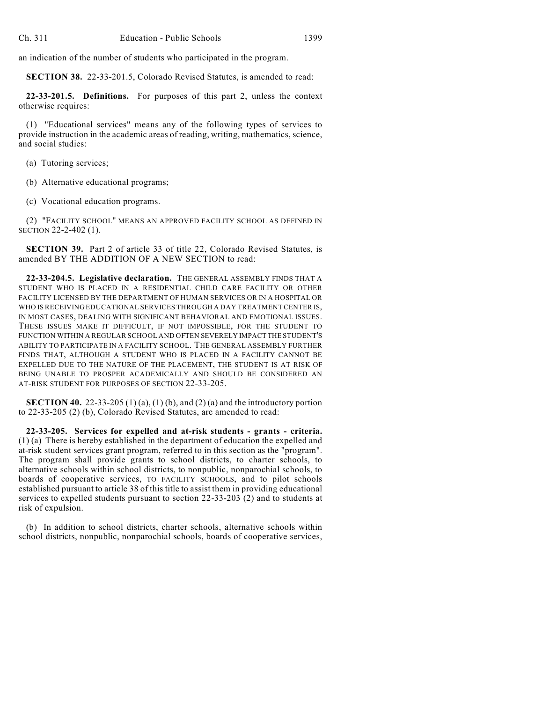an indication of the number of students who participated in the program.

**SECTION 38.** 22-33-201.5, Colorado Revised Statutes, is amended to read:

**22-33-201.5. Definitions.** For purposes of this part 2, unless the context otherwise requires:

(1) "Educational services" means any of the following types of services to provide instruction in the academic areas of reading, writing, mathematics, science, and social studies:

(a) Tutoring services;

(b) Alternative educational programs;

(c) Vocational education programs.

(2) "FACILITY SCHOOL" MEANS AN APPROVED FACILITY SCHOOL AS DEFINED IN SECTION 22-2-402 (1).

**SECTION 39.** Part 2 of article 33 of title 22, Colorado Revised Statutes, is amended BY THE ADDITION OF A NEW SECTION to read:

**22-33-204.5. Legislative declaration.** THE GENERAL ASSEMBLY FINDS THAT A STUDENT WHO IS PLACED IN A RESIDENTIAL CHILD CARE FACILITY OR OTHER FACILITY LICENSED BY THE DEPARTMENT OF HUMAN SERVICES OR IN A HOSPITAL OR WHO IS RECEIVING EDUCATIONAL SERVICES THROUGH A DAY TREATMENT CENTER IS. IN MOST CASES, DEALING WITH SIGNIFICANT BEHAVIORAL AND EMOTIONAL ISSUES. THESE ISSUES MAKE IT DIFFICULT, IF NOT IMPOSSIBLE, FOR THE STUDENT TO FUNCTION WITHIN A REGULAR SCHOOL AND OFTEN SEVERELY IMPACT THE STUDENT'S ABILITY TO PARTICIPATE IN A FACILITY SCHOOL. THE GENERAL ASSEMBLY FURTHER FINDS THAT, ALTHOUGH A STUDENT WHO IS PLACED IN A FACILITY CANNOT BE EXPELLED DUE TO THE NATURE OF THE PLACEMENT, THE STUDENT IS AT RISK OF BEING UNABLE TO PROSPER ACADEMICALLY AND SHOULD BE CONSIDERED AN AT-RISK STUDENT FOR PURPOSES OF SECTION 22-33-205.

**SECTION 40.** 22-33-205 (1) (a), (1) (b), and (2) (a) and the introductory portion to 22-33-205 (2) (b), Colorado Revised Statutes, are amended to read:

**22-33-205. Services for expelled and at-risk students - grants - criteria.** (1) (a) There is hereby established in the department of education the expelled and at-risk student services grant program, referred to in this section as the "program". The program shall provide grants to school districts, to charter schools, to alternative schools within school districts, to nonpublic, nonparochial schools, to boards of cooperative services, TO FACILITY SCHOOLS, and to pilot schools established pursuant to article 38 of this title to assist them in providing educational services to expelled students pursuant to section 22-33-203 (2) and to students at risk of expulsion.

(b) In addition to school districts, charter schools, alternative schools within school districts, nonpublic, nonparochial schools, boards of cooperative services,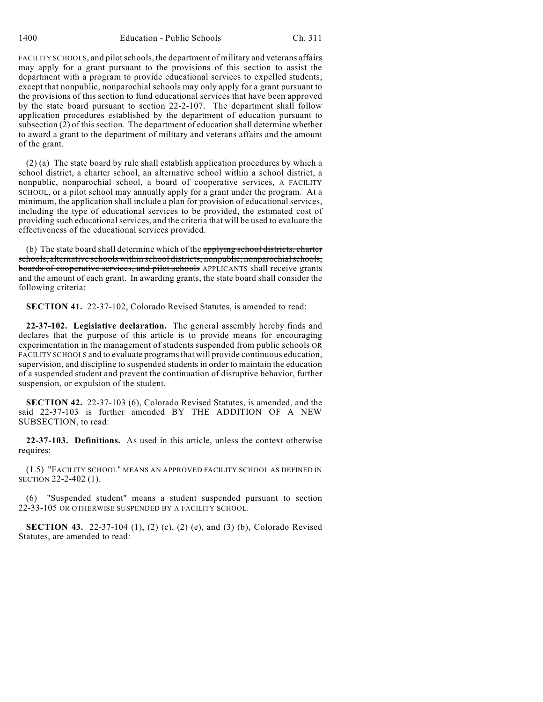FACILITY SCHOOLS, and pilot schools, the department of military and veterans affairs may apply for a grant pursuant to the provisions of this section to assist the department with a program to provide educational services to expelled students; except that nonpublic, nonparochial schools may only apply for a grant pursuant to the provisions of this section to fund educational services that have been approved by the state board pursuant to section 22-2-107. The department shall follow application procedures established by the department of education pursuant to subsection (2) of this section. The department of education shall determine whether to award a grant to the department of military and veterans affairs and the amount of the grant.

(2) (a) The state board by rule shall establish application procedures by which a school district, a charter school, an alternative school within a school district, a nonpublic, nonparochial school, a board of cooperative services, A FACILITY SCHOOL, or a pilot school may annually apply for a grant under the program. At a minimum, the application shall include a plan for provision of educational services, including the type of educational services to be provided, the estimated cost of providing such educationalservices, and the criteria that will be used to evaluate the effectiveness of the educational services provided.

(b) The state board shall determine which of the applying school districts, charter schools, alternative schools within school districts, nonpublic, nonparochial schools, boards of cooperative services, and pilot schools APPLICANTS shall receive grants and the amount of each grant. In awarding grants, the state board shall consider the following criteria:

**SECTION 41.** 22-37-102, Colorado Revised Statutes, is amended to read:

**22-37-102. Legislative declaration.** The general assembly hereby finds and declares that the purpose of this article is to provide means for encouraging experimentation in the management of students suspended from public schools OR FACILITY SCHOOLS and to evaluate programs that will provide continuous education, supervision, and discipline to suspended students in order to maintain the education of a suspended student and prevent the continuation of disruptive behavior, further suspension, or expulsion of the student.

**SECTION 42.** 22-37-103 (6), Colorado Revised Statutes, is amended, and the said 22-37-103 is further amended BY THE ADDITION OF A NEW SUBSECTION, to read:

**22-37-103. Definitions.** As used in this article, unless the context otherwise requires:

(1.5) "FACILITY SCHOOL" MEANS AN APPROVED FACILITY SCHOOL AS DEFINED IN SECTION 22-2-402 (1).

(6) "Suspended student" means a student suspended pursuant to section 22-33-105 OR OTHERWISE SUSPENDED BY A FACILITY SCHOOL.

**SECTION 43.** 22-37-104 (1), (2) (c), (2) (e), and (3) (b), Colorado Revised Statutes, are amended to read: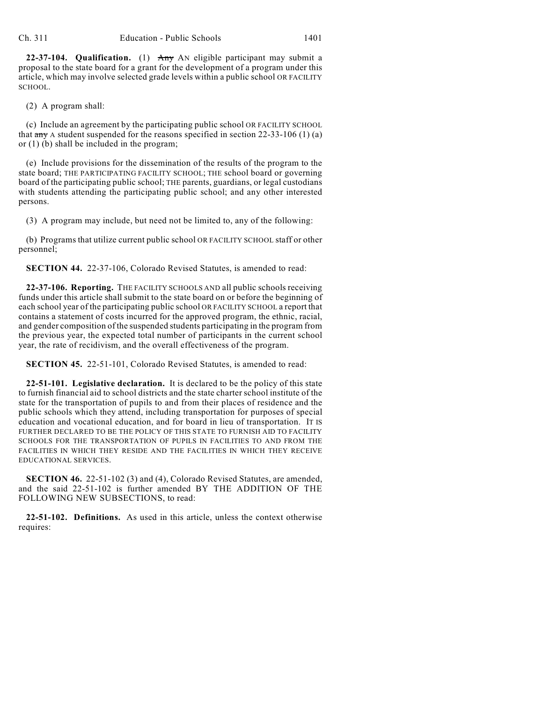**22-37-104. Qualification.** (1) Any AN eligible participant may submit a proposal to the state board for a grant for the development of a program under this article, which may involve selected grade levels within a public school OR FACILITY SCHOOL.

(2) A program shall:

(c) Include an agreement by the participating public school OR FACILITY SCHOOL that  $\frac{any}{ay}$  A student suspended for the reasons specified in section 22-33-106 (1) (a) or (1) (b) shall be included in the program;

(e) Include provisions for the dissemination of the results of the program to the state board; THE PARTICIPATING FACILITY SCHOOL; THE school board or governing board of the participating public school; THE parents, guardians, or legal custodians with students attending the participating public school; and any other interested persons.

(3) A program may include, but need not be limited to, any of the following:

(b) Programs that utilize current public school OR FACILITY SCHOOL staff or other personnel;

**SECTION 44.** 22-37-106, Colorado Revised Statutes, is amended to read:

**22-37-106. Reporting.** THE FACILITY SCHOOLS AND all public schools receiving funds under this article shall submit to the state board on or before the beginning of each school year of the participating public school OR FACILITY SCHOOL a report that contains a statement of costs incurred for the approved program, the ethnic, racial, and gender composition of the suspended students participating in the program from the previous year, the expected total number of participants in the current school year, the rate of recidivism, and the overall effectiveness of the program.

**SECTION 45.** 22-51-101, Colorado Revised Statutes, is amended to read:

**22-51-101. Legislative declaration.** It is declared to be the policy of this state to furnish financial aid to school districts and the state charter school institute of the state for the transportation of pupils to and from their places of residence and the public schools which they attend, including transportation for purposes of special education and vocational education, and for board in lieu of transportation. IT IS FURTHER DECLARED TO BE THE POLICY OF THIS STATE TO FURNISH AID TO FACILITY SCHOOLS FOR THE TRANSPORTATION OF PUPILS IN FACILITIES TO AND FROM THE FACILITIES IN WHICH THEY RESIDE AND THE FACILITIES IN WHICH THEY RECEIVE EDUCATIONAL SERVICES.

**SECTION 46.** 22-51-102 (3) and (4), Colorado Revised Statutes, are amended, and the said 22-51-102 is further amended BY THE ADDITION OF THE FOLLOWING NEW SUBSECTIONS, to read:

**22-51-102. Definitions.** As used in this article, unless the context otherwise requires: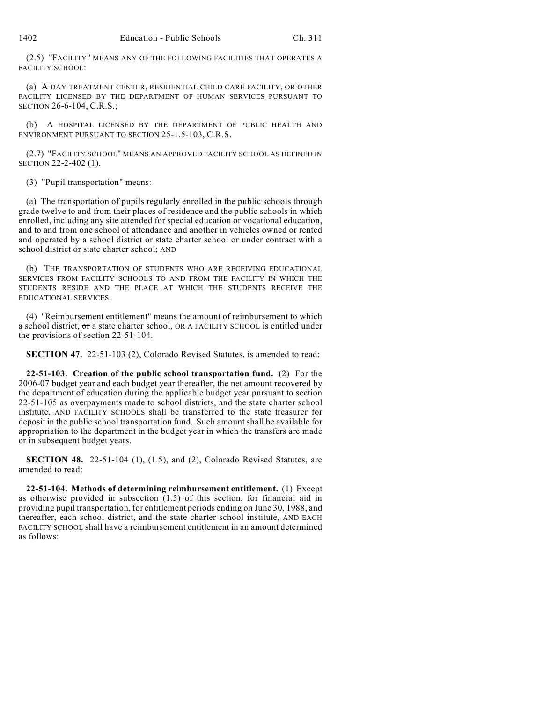(2.5) "FACILITY" MEANS ANY OF THE FOLLOWING FACILITIES THAT OPERATES A FACILITY SCHOOL:

(a) A DAY TREATMENT CENTER, RESIDENTIAL CHILD CARE FACILITY, OR OTHER FACILITY LICENSED BY THE DEPARTMENT OF HUMAN SERVICES PURSUANT TO SECTION 26-6-104, C.R.S.;

(b) A HOSPITAL LICENSED BY THE DEPARTMENT OF PUBLIC HEALTH AND ENVIRONMENT PURSUANT TO SECTION 25-1.5-103, C.R.S.

(2.7) "FACILITY SCHOOL" MEANS AN APPROVED FACILITY SCHOOL AS DEFINED IN SECTION 22-2-402 (1).

(3) "Pupil transportation" means:

(a) The transportation of pupils regularly enrolled in the public schools through grade twelve to and from their places of residence and the public schools in which enrolled, including any site attended for special education or vocational education, and to and from one school of attendance and another in vehicles owned or rented and operated by a school district or state charter school or under contract with a school district or state charter school; AND

(b) THE TRANSPORTATION OF STUDENTS WHO ARE RECEIVING EDUCATIONAL SERVICES FROM FACILITY SCHOOLS TO AND FROM THE FACILITY IN WHICH THE STUDENTS RESIDE AND THE PLACE AT WHICH THE STUDENTS RECEIVE THE EDUCATIONAL SERVICES.

(4) "Reimbursement entitlement" means the amount of reimbursement to which a school district,  $\sigma$ r a state charter school, OR A FACILITY SCHOOL is entitled under the provisions of section 22-51-104.

**SECTION 47.** 22-51-103 (2), Colorado Revised Statutes, is amended to read:

**22-51-103. Creation of the public school transportation fund.** (2) For the 2006-07 budget year and each budget year thereafter, the net amount recovered by the department of education during the applicable budget year pursuant to section  $22-51-105$  as overpayments made to school districts, and the state charter school institute, AND FACILITY SCHOOLS shall be transferred to the state treasurer for deposit in the public school transportation fund. Such amount shall be available for appropriation to the department in the budget year in which the transfers are made or in subsequent budget years.

**SECTION 48.** 22-51-104 (1), (1.5), and (2), Colorado Revised Statutes, are amended to read:

**22-51-104. Methods of determining reimbursement entitlement.** (1) Except as otherwise provided in subsection (1.5) of this section, for financial aid in providing pupil transportation, for entitlement periods ending on June 30, 1988, and thereafter, each school district, and the state charter school institute, AND EACH FACILITY SCHOOL shall have a reimbursement entitlement in an amount determined as follows: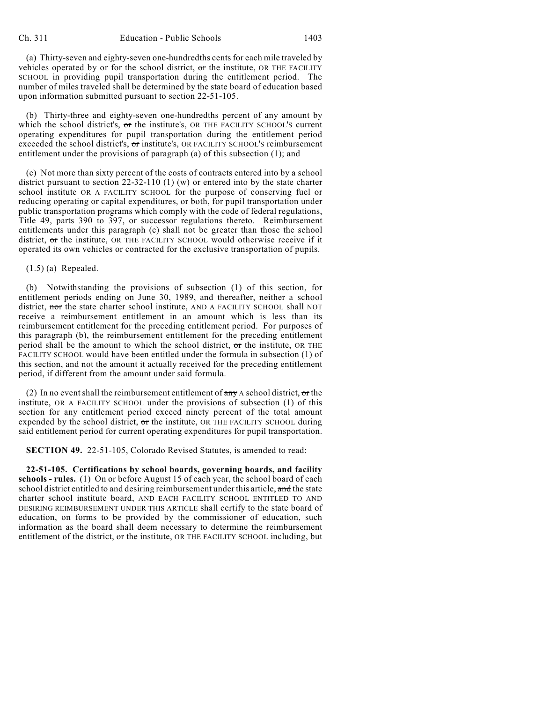(a) Thirty-seven and eighty-seven one-hundredths cents for each mile traveled by vehicles operated by or for the school district, or the institute, OR THE FACILITY SCHOOL in providing pupil transportation during the entitlement period. The number of miles traveled shall be determined by the state board of education based upon information submitted pursuant to section 22-51-105.

(b) Thirty-three and eighty-seven one-hundredths percent of any amount by which the school district's, or the institute's, OR THE FACILITY SCHOOL'S current operating expenditures for pupil transportation during the entitlement period exceeded the school district's, or institute's, OR FACILITY SCHOOL'S reimbursement entitlement under the provisions of paragraph (a) of this subsection (1); and

(c) Not more than sixty percent of the costs of contracts entered into by a school district pursuant to section 22-32-110 (1) (w) or entered into by the state charter school institute OR A FACILITY SCHOOL for the purpose of conserving fuel or reducing operating or capital expenditures, or both, for pupil transportation under public transportation programs which comply with the code of federal regulations, Title 49, parts 390 to 397, or successor regulations thereto. Reimbursement entitlements under this paragraph (c) shall not be greater than those the school district, or the institute, OR THE FACILITY SCHOOL would otherwise receive if it operated its own vehicles or contracted for the exclusive transportation of pupils.

(1.5) (a) Repealed.

(b) Notwithstanding the provisions of subsection (1) of this section, for entitlement periods ending on June 30, 1989, and thereafter, neither a school district, nor the state charter school institute, AND A FACILITY SCHOOL shall NOT receive a reimbursement entitlement in an amount which is less than its reimbursement entitlement for the preceding entitlement period. For purposes of this paragraph (b), the reimbursement entitlement for the preceding entitlement period shall be the amount to which the school district,  $\sigma$ r the institute, OR THE FACILITY SCHOOL would have been entitled under the formula in subsection (1) of this section, and not the amount it actually received for the preceding entitlement period, if different from the amount under said formula.

(2) In no event shall the reimbursement entitlement of  $\frac{d}{dx}$  A school district, or the institute, OR A FACILITY SCHOOL under the provisions of subsection (1) of this section for any entitlement period exceed ninety percent of the total amount expended by the school district,  $\sigma$ r the institute, OR THE FACILITY SCHOOL during said entitlement period for current operating expenditures for pupil transportation.

**SECTION 49.** 22-51-105, Colorado Revised Statutes, is amended to read:

**22-51-105. Certifications by school boards, governing boards, and facility schools - rules.** (1) On or before August 15 of each year, the school board of each school district entitled to and desiring reimbursement under this article, and the state charter school institute board, AND EACH FACILITY SCHOOL ENTITLED TO AND DESIRING REIMBURSEMENT UNDER THIS ARTICLE shall certify to the state board of education, on forms to be provided by the commissioner of education, such information as the board shall deem necessary to determine the reimbursement entitlement of the district, or the institute, OR THE FACILITY SCHOOL including, but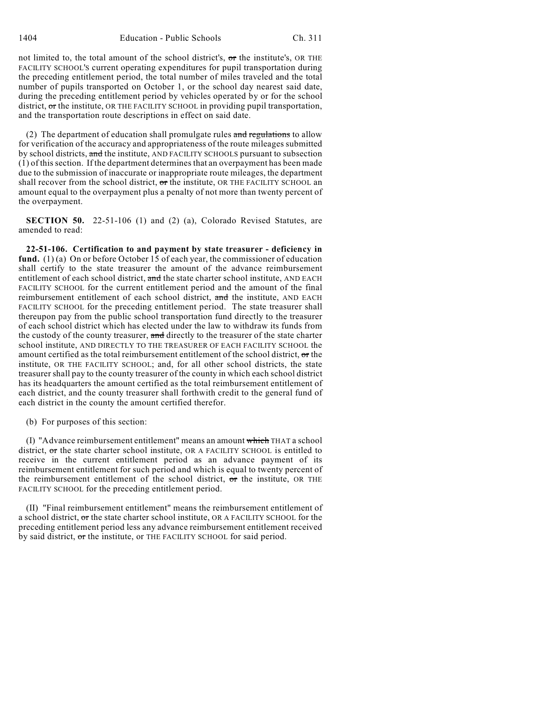1404 Education - Public Schools Ch. 311

not limited to, the total amount of the school district's, or the institute's, OR THE FACILITY SCHOOL'S current operating expenditures for pupil transportation during the preceding entitlement period, the total number of miles traveled and the total number of pupils transported on October 1, or the school day nearest said date, during the preceding entitlement period by vehicles operated by or for the school district,  $\sigma$ r the institute, OR THE FACILITY SCHOOL in providing pupil transportation, and the transportation route descriptions in effect on said date.

(2) The department of education shall promulgate rules  $\alpha$  and regulations to allow for verification of the accuracy and appropriateness of the route mileages submitted by school districts, and the institute, AND FACILITY SCHOOLS pursuant to subsection (1) of this section. If the department determines that an overpayment has been made due to the submission of inaccurate or inappropriate route mileages, the department shall recover from the school district, or the institute, OR THE FACILITY SCHOOL an amount equal to the overpayment plus a penalty of not more than twenty percent of the overpayment.

**SECTION 50.** 22-51-106 (1) and (2) (a), Colorado Revised Statutes, are amended to read:

**22-51-106. Certification to and payment by state treasurer - deficiency in fund.** (1) (a) On or before October 15 of each year, the commissioner of education shall certify to the state treasurer the amount of the advance reimbursement entitlement of each school district, and the state charter school institute, AND EACH FACILITY SCHOOL for the current entitlement period and the amount of the final reimbursement entitlement of each school district, and the institute, AND EACH FACILITY SCHOOL for the preceding entitlement period. The state treasurer shall thereupon pay from the public school transportation fund directly to the treasurer of each school district which has elected under the law to withdraw its funds from the custody of the county treasurer, and directly to the treasurer of the state charter school institute, AND DIRECTLY TO THE TREASURER OF EACH FACILITY SCHOOL the amount certified as the total reimbursement entitlement of the school district, or the institute, OR THE FACILITY SCHOOL; and, for all other school districts, the state treasurer shall pay to the county treasurer of the county in which each school district has its headquarters the amount certified as the total reimbursement entitlement of each district, and the county treasurer shall forthwith credit to the general fund of each district in the county the amount certified therefor.

(b) For purposes of this section:

(I) "Advance reimbursement entitlement" means an amount which THAT a school district, or the state charter school institute, OR A FACILITY SCHOOL is entitled to receive in the current entitlement period as an advance payment of its reimbursement entitlement for such period and which is equal to twenty percent of the reimbursement entitlement of the school district, or the institute, OR THE FACILITY SCHOOL for the preceding entitlement period.

(II) "Final reimbursement entitlement" means the reimbursement entitlement of a school district, or the state charter school institute, OR A FACILITY SCHOOL for the preceding entitlement period less any advance reimbursement entitlement received by said district, or the institute, or THE FACILITY SCHOOL for said period.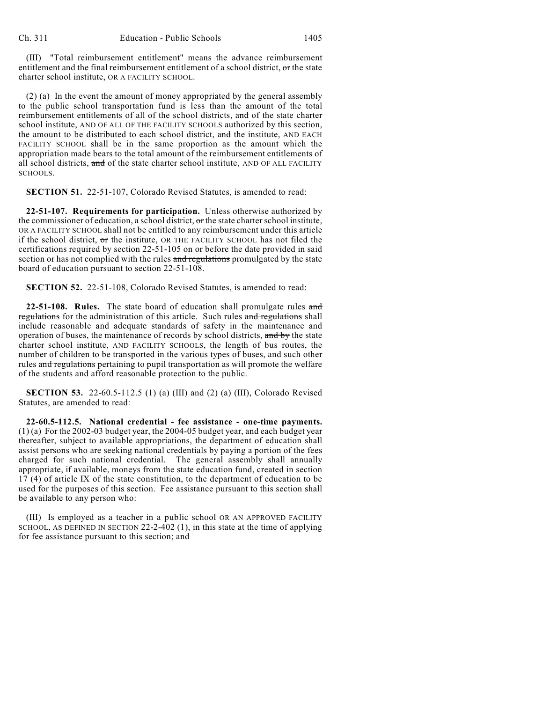(III) "Total reimbursement entitlement" means the advance reimbursement entitlement and the final reimbursement entitlement of a school district, or the state charter school institute, OR A FACILITY SCHOOL.

(2) (a) In the event the amount of money appropriated by the general assembly to the public school transportation fund is less than the amount of the total reimbursement entitlements of all of the school districts, and of the state charter school institute, AND OF ALL OF THE FACILITY SCHOOLS authorized by this section, the amount to be distributed to each school district, and the institute, AND EACH FACILITY SCHOOL shall be in the same proportion as the amount which the appropriation made bears to the total amount of the reimbursement entitlements of all school districts, and of the state charter school institute, AND OF ALL FACILITY SCHOOLS.

**SECTION 51.** 22-51-107, Colorado Revised Statutes, is amended to read:

**22-51-107. Requirements for participation.** Unless otherwise authorized by the commissioner of education, a school district,  $\sigma$ r the state charter school institute, OR A FACILITY SCHOOL shall not be entitled to any reimbursement under this article if the school district,  $\sigma$ r the institute, OR THE FACILITY SCHOOL has not filed the certifications required by section 22-51-105 on or before the date provided in said section or has not complied with the rules and regulations promulgated by the state board of education pursuant to section 22-51-108.

**SECTION 52.** 22-51-108, Colorado Revised Statutes, is amended to read:

**22-51-108. Rules.** The state board of education shall promulgate rules and regulations for the administration of this article. Such rules and regulations shall include reasonable and adequate standards of safety in the maintenance and operation of buses, the maintenance of records by school districts, and by the state charter school institute, AND FACILITY SCHOOLS, the length of bus routes, the number of children to be transported in the various types of buses, and such other rules and regulations pertaining to pupil transportation as will promote the welfare of the students and afford reasonable protection to the public.

**SECTION 53.** 22-60.5-112.5 (1) (a) (III) and (2) (a) (III), Colorado Revised Statutes, are amended to read:

**22-60.5-112.5. National credential - fee assistance - one-time payments.** (1) (a) For the 2002-03 budget year, the 2004-05 budget year, and each budget year thereafter, subject to available appropriations, the department of education shall assist persons who are seeking national credentials by paying a portion of the fees charged for such national credential. The general assembly shall annually appropriate, if available, moneys from the state education fund, created in section 17 (4) of article IX of the state constitution, to the department of education to be used for the purposes of this section. Fee assistance pursuant to this section shall be available to any person who:

(III) Is employed as a teacher in a public school OR AN APPROVED FACILITY SCHOOL, AS DEFINED IN SECTION 22-2-402 (1), in this state at the time of applying for fee assistance pursuant to this section; and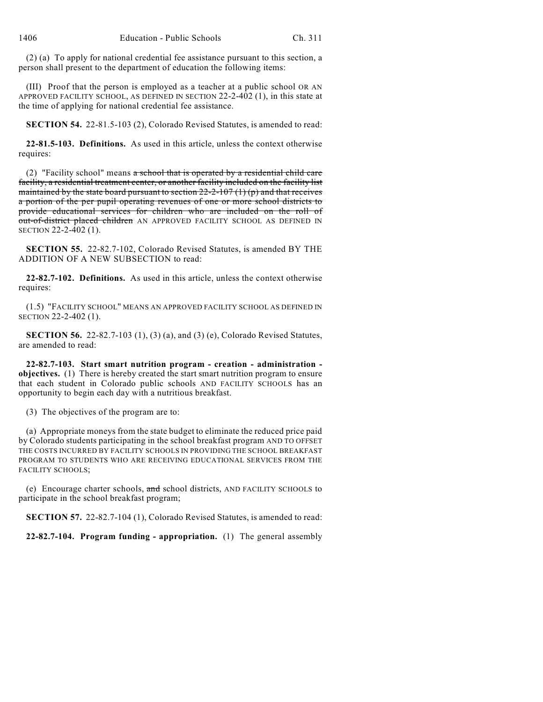(2) (a) To apply for national credential fee assistance pursuant to this section, a person shall present to the department of education the following items:

(III) Proof that the person is employed as a teacher at a public school OR AN APPROVED FACILITY SCHOOL, AS DEFINED IN SECTION 22-2-402 (1), in this state at the time of applying for national credential fee assistance.

**SECTION 54.** 22-81.5-103 (2), Colorado Revised Statutes, is amended to read:

**22-81.5-103. Definitions.** As used in this article, unless the context otherwise requires:

(2) "Facility school" means  $\alpha$  school that is operated by a residential child care facility, a residential treatment center, or another facility included on the facility list maintained by the state board pursuant to section  $22-2-107(1)(p)$  and that receives a portion of the per pupil operating revenues of one or more school districts to provide educational services for children who are included on the roll of out-of-district placed children AN APPROVED FACILITY SCHOOL AS DEFINED IN SECTION 22-2-402 (1).

**SECTION 55.** 22-82.7-102, Colorado Revised Statutes, is amended BY THE ADDITION OF A NEW SUBSECTION to read:

**22-82.7-102. Definitions.** As used in this article, unless the context otherwise requires:

(1.5) "FACILITY SCHOOL" MEANS AN APPROVED FACILITY SCHOOL AS DEFINED IN SECTION 22-2-402 (1).

**SECTION 56.** 22-82.7-103 (1), (3) (a), and (3) (e), Colorado Revised Statutes, are amended to read:

**22-82.7-103. Start smart nutrition program - creation - administration objectives.** (1) There is hereby created the start smart nutrition program to ensure that each student in Colorado public schools AND FACILITY SCHOOLS has an opportunity to begin each day with a nutritious breakfast.

(3) The objectives of the program are to:

(a) Appropriate moneys from the state budget to eliminate the reduced price paid by Colorado students participating in the school breakfast program AND TO OFFSET THE COSTS INCURRED BY FACILITY SCHOOLS IN PROVIDING THE SCHOOL BREAKFAST PROGRAM TO STUDENTS WHO ARE RECEIVING EDUCATIONAL SERVICES FROM THE FACILITY SCHOOLS;

(e) Encourage charter schools, and school districts, AND FACILITY SCHOOLS to participate in the school breakfast program;

**SECTION 57.** 22-82.7-104 (1), Colorado Revised Statutes, is amended to read:

**22-82.7-104. Program funding - appropriation.** (1) The general assembly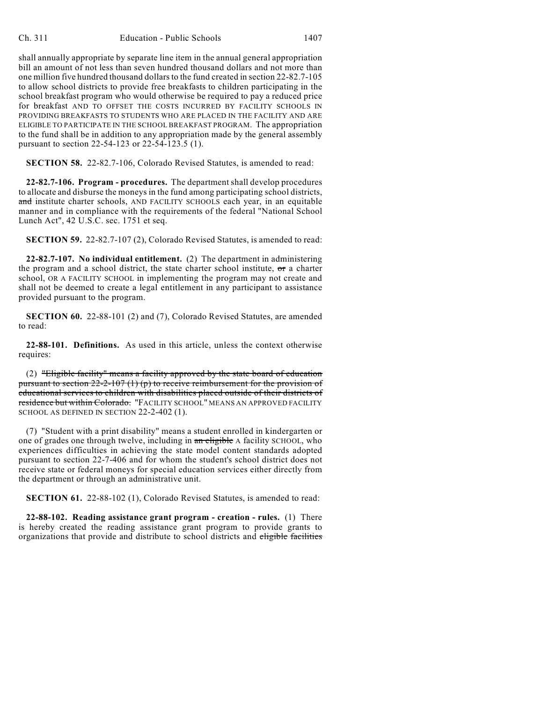shall annually appropriate by separate line item in the annual general appropriation bill an amount of not less than seven hundred thousand dollars and not more than one million five hundred thousand dollars to the fund created in section 22-82.7-105 to allow school districts to provide free breakfasts to children participating in the school breakfast program who would otherwise be required to pay a reduced price for breakfast AND TO OFFSET THE COSTS INCURRED BY FACILITY SCHOOLS IN PROVIDING BREAKFASTS TO STUDENTS WHO ARE PLACED IN THE FACILITY AND ARE ELIGIBLE TO PARTICIPATE IN THE SCHOOL BREAKFAST PROGRAM. The appropriation to the fund shall be in addition to any appropriation made by the general assembly pursuant to section 22-54-123 or 22-54-123.5 (1).

**SECTION 58.** 22-82.7-106, Colorado Revised Statutes, is amended to read:

**22-82.7-106. Program - procedures.** The department shall develop procedures to allocate and disburse the moneys in the fund among participating school districts, and institute charter schools, AND FACILITY SCHOOLS each year, in an equitable manner and in compliance with the requirements of the federal "National School Lunch Act", 42 U.S.C. sec. 1751 et seq.

**SECTION 59.** 22-82.7-107 (2), Colorado Revised Statutes, is amended to read:

**22-82.7-107. No individual entitlement.** (2) The department in administering the program and a school district, the state charter school institute,  $\sigma$ r a charter school, OR A FACILITY SCHOOL in implementing the program may not create and shall not be deemed to create a legal entitlement in any participant to assistance provided pursuant to the program.

**SECTION 60.** 22-88-101 (2) and (7), Colorado Revised Statutes, are amended to read:

**22-88-101. Definitions.** As used in this article, unless the context otherwise requires:

(2) "Eligible facility" means a facility approved by the state board of education pursuant to section  $22-2-107(1)$  (p) to receive reimbursement for the provision of educational services to children with disabilities placed outside of their districts of residence but within Colorado. "FACILITY SCHOOL" MEANS AN APPROVED FACILITY SCHOOL AS DEFINED IN SECTION 22-2-402 (1).

(7) "Student with a print disability" means a student enrolled in kindergarten or one of grades one through twelve, including in an eligible A facility SCHOOL, who experiences difficulties in achieving the state model content standards adopted pursuant to section 22-7-406 and for whom the student's school district does not receive state or federal moneys for special education services either directly from the department or through an administrative unit.

**SECTION 61.** 22-88-102 (1), Colorado Revised Statutes, is amended to read:

**22-88-102. Reading assistance grant program - creation - rules.** (1) There is hereby created the reading assistance grant program to provide grants to organizations that provide and distribute to school districts and eligible facilities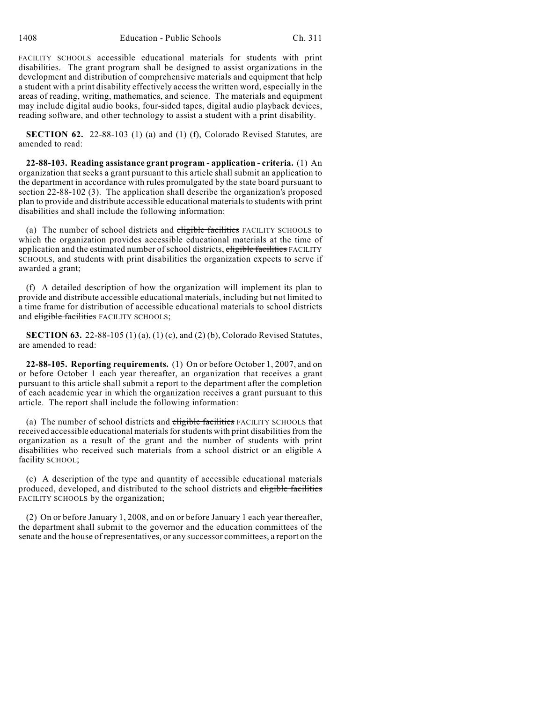FACILITY SCHOOLS accessible educational materials for students with print disabilities. The grant program shall be designed to assist organizations in the development and distribution of comprehensive materials and equipment that help a student with a print disability effectively access the written word, especially in the areas of reading, writing, mathematics, and science. The materials and equipment may include digital audio books, four-sided tapes, digital audio playback devices, reading software, and other technology to assist a student with a print disability.

**SECTION 62.** 22-88-103 (1) (a) and (1) (f), Colorado Revised Statutes, are amended to read:

**22-88-103. Reading assistance grant program - application - criteria.** (1) An organization that seeks a grant pursuant to this article shall submit an application to the department in accordance with rules promulgated by the state board pursuant to section 22-88-102 (3). The application shall describe the organization's proposed plan to provide and distribute accessible educational materials to students with print disabilities and shall include the following information:

(a) The number of school districts and eligible facilities FACILITY SCHOOLS to which the organization provides accessible educational materials at the time of application and the estimated number of school districts, eligible facilities FACILITY SCHOOLS, and students with print disabilities the organization expects to serve if awarded a grant;

(f) A detailed description of how the organization will implement its plan to provide and distribute accessible educational materials, including but not limited to a time frame for distribution of accessible educational materials to school districts and eligible facilities FACILITY SCHOOLS;

**SECTION 63.** 22-88-105 (1) (a), (1) (c), and (2) (b), Colorado Revised Statutes, are amended to read:

**22-88-105. Reporting requirements.** (1) On or before October 1, 2007, and on or before October 1 each year thereafter, an organization that receives a grant pursuant to this article shall submit a report to the department after the completion of each academic year in which the organization receives a grant pursuant to this article. The report shall include the following information:

(a) The number of school districts and eligible facilities FACILITY SCHOOLS that received accessible educational materials for students with print disabilities from the organization as a result of the grant and the number of students with print disabilities who received such materials from a school district or an eligible A facility SCHOOL;

(c) A description of the type and quantity of accessible educational materials produced, developed, and distributed to the school districts and eligible facilities FACILITY SCHOOLS by the organization;

(2) On or before January 1, 2008, and on or before January 1 each year thereafter, the department shall submit to the governor and the education committees of the senate and the house of representatives, or any successor committees, a report on the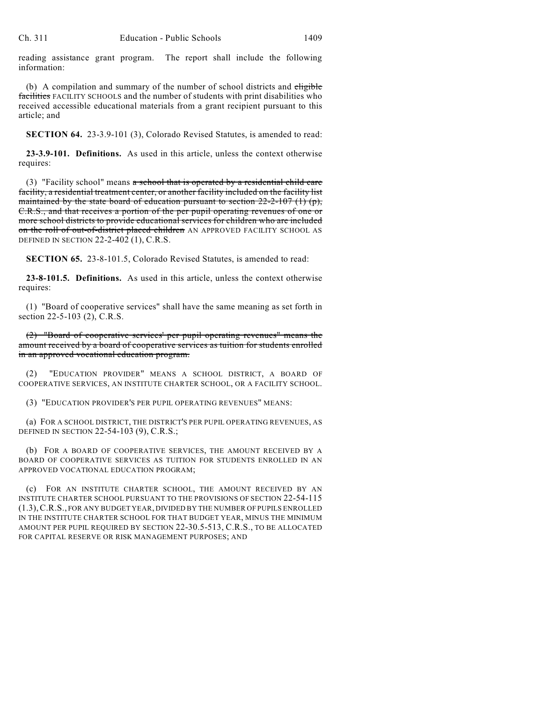reading assistance grant program. The report shall include the following information:

(b) A compilation and summary of the number of school districts and eligible facilities FACILITY SCHOOLS and the number of students with print disabilities who received accessible educational materials from a grant recipient pursuant to this article; and

**SECTION 64.** 23-3.9-101 (3), Colorado Revised Statutes, is amended to read:

**23-3.9-101. Definitions.** As used in this article, unless the context otherwise requires:

(3) "Facility school" means  $\alpha$  school that is operated by a residential child care facility, a residential treatment center, or another facility included on the facility list maintained by the state board of education pursuant to section  $22-2-107$  (1) (p), C.R.S., and that receives a portion of the per pupil operating revenues of one or more school districts to provide educational services for children who are included on the roll of out-of-district placed children AN APPROVED FACILITY SCHOOL AS DEFINED IN SECTION 22-2-402 (1), C.R.S.

**SECTION 65.** 23-8-101.5, Colorado Revised Statutes, is amended to read:

**23-8-101.5. Definitions.** As used in this article, unless the context otherwise requires:

(1) "Board of cooperative services" shall have the same meaning as set forth in section 22-5-103 (2), C.R.S.

(2) "Board of cooperative services' per pupil operating revenues" means the amount received by a board of cooperative services as tuition for students enrolled in an approved vocational education program.

(2) "EDUCATION PROVIDER" MEANS A SCHOOL DISTRICT, A BOARD OF COOPERATIVE SERVICES, AN INSTITUTE CHARTER SCHOOL, OR A FACILITY SCHOOL.

(3) "EDUCATION PROVIDER'S PER PUPIL OPERATING REVENUES" MEANS:

(a) FOR A SCHOOL DISTRICT, THE DISTRICT'S PER PUPIL OPERATING REVENUES, AS DEFINED IN SECTION 22-54-103 (9), C.R.S.;

(b) FOR A BOARD OF COOPERATIVE SERVICES, THE AMOUNT RECEIVED BY A BOARD OF COOPERATIVE SERVICES AS TUITION FOR STUDENTS ENROLLED IN AN APPROVED VOCATIONAL EDUCATION PROGRAM;

(c) FOR AN INSTITUTE CHARTER SCHOOL, THE AMOUNT RECEIVED BY AN INSTITUTE CHARTER SCHOOL PURSUANT TO THE PROVISIONS OF SECTION 22-54-115 (1.3),C.R.S., FOR ANY BUDGET YEAR, DIVIDED BY THE NUMBER OF PUPILS ENROLLED IN THE INSTITUTE CHARTER SCHOOL FOR THAT BUDGET YEAR, MINUS THE MINIMUM AMOUNT PER PUPIL REQUIRED BY SECTION 22-30.5-513, C.R.S., TO BE ALLOCATED FOR CAPITAL RESERVE OR RISK MANAGEMENT PURPOSES; AND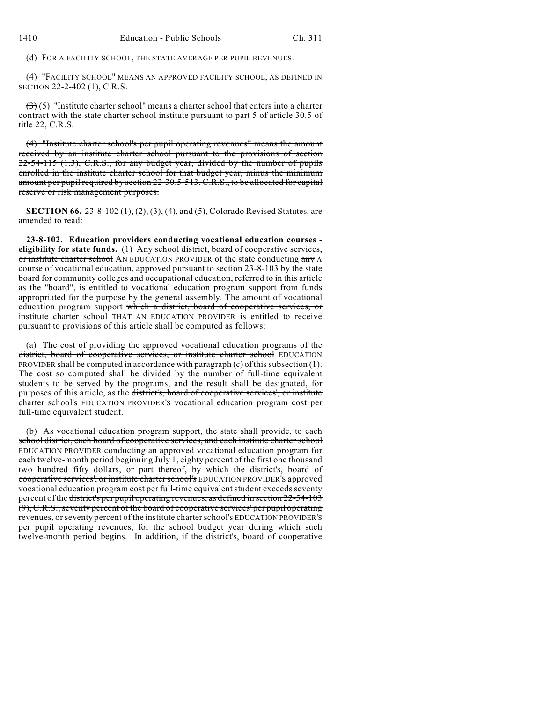(d) FOR A FACILITY SCHOOL, THE STATE AVERAGE PER PUPIL REVENUES.

(4) "FACILITY SCHOOL" MEANS AN APPROVED FACILITY SCHOOL, AS DEFINED IN SECTION 22-2-402 (1), C.R.S.

 $(3)(5)$  "Institute charter school" means a charter school that enters into a charter contract with the state charter school institute pursuant to part 5 of article 30.5 of title 22, C.R.S.

(4) "Institute charter school's per pupil operating revenues" means the amount received by an institute charter school pursuant to the provisions of section 22-54-115 (1.3), C.R.S., for any budget year, divided by the number of pupils enrolled in the institute charter school for that budget year, minus the minimum amount per pupil required by section 22-30.5-513, C.R.S., to be allocated for capital reserve or risk management purposes.

**SECTION 66.** 23-8-102 (1), (2), (3), (4), and (5), Colorado Revised Statutes, are amended to read:

**23-8-102. Education providers conducting vocational education courses eligibility for state funds.** (1) Any school district, board of cooperative services, or institute charter school AN EDUCATION PROVIDER of the state conducting any A course of vocational education, approved pursuant to section 23-8-103 by the state board for community colleges and occupational education, referred to in this article as the "board", is entitled to vocational education program support from funds appropriated for the purpose by the general assembly. The amount of vocational education program support which a district, board of cooperative services, or institute charter school THAT AN EDUCATION PROVIDER is entitled to receive pursuant to provisions of this article shall be computed as follows:

(a) The cost of providing the approved vocational education programs of the district, board of cooperative services, or institute charter school EDUCATION PROVIDER shall be computed in accordance with paragraph (c) of this subsection (1). The cost so computed shall be divided by the number of full-time equivalent students to be served by the programs, and the result shall be designated, for purposes of this article, as the district's, board of cooperative services', or institute charter school's EDUCATION PROVIDER'S vocational education program cost per full-time equivalent student.

(b) As vocational education program support, the state shall provide, to each school district, each board of cooperative services, and each institute charter school EDUCATION PROVIDER conducting an approved vocational education program for each twelve-month period beginning July 1, eighty percent of the first one thousand two hundred fifty dollars, or part thereof, by which the district's, board of cooperative services', or institute charter school's EDUCATION PROVIDER'S approved vocational education program cost per full-time equivalent student exceeds seventy percent of the district's per pupil operating revenues, as defined in section 22-54-103 (9), C.R.S., seventy percent of the board of cooperative services' per pupil operating revenues, or seventy percent of the institute charter school's EDUCATION PROVIDER'S per pupil operating revenues, for the school budget year during which such twelve-month period begins. In addition, if the district's, board of cooperative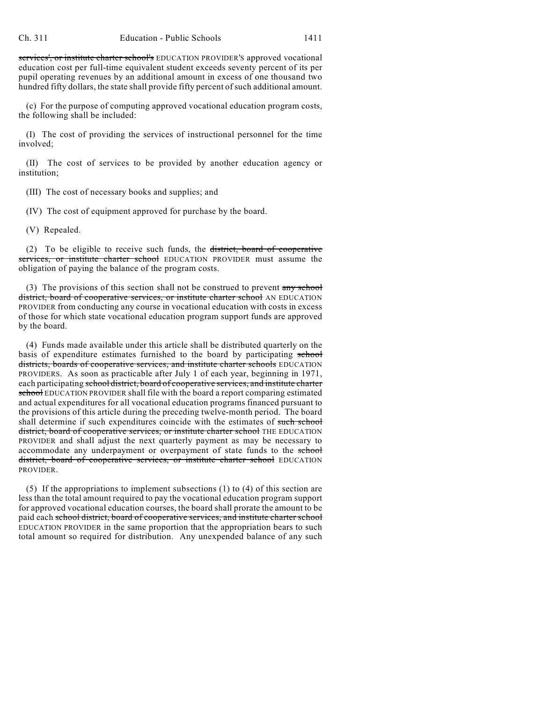services', or institute charter school's EDUCATION PROVIDER'S approved vocational education cost per full-time equivalent student exceeds seventy percent of its per pupil operating revenues by an additional amount in excess of one thousand two hundred fifty dollars, the state shall provide fifty percent of such additional amount.

(c) For the purpose of computing approved vocational education program costs, the following shall be included:

(I) The cost of providing the services of instructional personnel for the time involved;

(II) The cost of services to be provided by another education agency or institution;

(III) The cost of necessary books and supplies; and

(IV) The cost of equipment approved for purchase by the board.

(V) Repealed.

(2) To be eligible to receive such funds, the district, board of cooperative services, or institute charter school EDUCATION PROVIDER must assume the obligation of paying the balance of the program costs.

(3) The provisions of this section shall not be construed to prevent  $\frac{any \text{ school}}{any \text{ school}}$ district, board of cooperative services, or institute charter school AN EDUCATION PROVIDER from conducting any course in vocational education with costs in excess of those for which state vocational education program support funds are approved by the board.

(4) Funds made available under this article shall be distributed quarterly on the basis of expenditure estimates furnished to the board by participating school districts, boards of cooperative services, and institute charter schools EDUCATION PROVIDERS. As soon as practicable after July 1 of each year, beginning in 1971, each participating school district, board of cooperative services, and institute charter school EDUCATION PROVIDER shall file with the board a report comparing estimated and actual expenditures for all vocational education programs financed pursuant to the provisions of this article during the preceding twelve-month period. The board shall determine if such expenditures coincide with the estimates of such school district, board of cooperative services, or institute charter school THE EDUCATION PROVIDER and shall adjust the next quarterly payment as may be necessary to accommodate any underpayment or overpayment of state funds to the school district, board of cooperative services, or institute charter school EDUCATION PROVIDER.

(5) If the appropriations to implement subsections (1) to (4) of this section are less than the total amount required to pay the vocational education program support for approved vocational education courses, the board shall prorate the amount to be paid each school district, board of cooperative services, and institute charter school EDUCATION PROVIDER in the same proportion that the appropriation bears to such total amount so required for distribution. Any unexpended balance of any such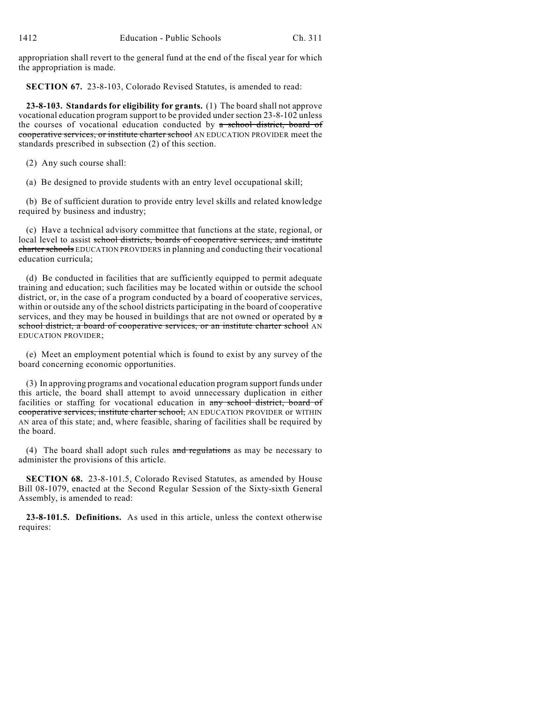appropriation shall revert to the general fund at the end of the fiscal year for which the appropriation is made.

**SECTION 67.** 23-8-103, Colorado Revised Statutes, is amended to read:

**23-8-103. Standards for eligibility for grants.** (1) The board shall not approve vocational education program support to be provided under section 23-8-102 unless the courses of vocational education conducted by a school district, board of cooperative services, or institute charter school AN EDUCATION PROVIDER meet the standards prescribed in subsection (2) of this section.

(2) Any such course shall:

(a) Be designed to provide students with an entry level occupational skill;

(b) Be of sufficient duration to provide entry level skills and related knowledge required by business and industry;

(c) Have a technical advisory committee that functions at the state, regional, or local level to assist school districts, boards of cooperative services, and institute charter schools EDUCATION PROVIDERS in planning and conducting their vocational education curricula;

(d) Be conducted in facilities that are sufficiently equipped to permit adequate training and education; such facilities may be located within or outside the school district, or, in the case of a program conducted by a board of cooperative services, within or outside any of the school districts participating in the board of cooperative services, and they may be housed in buildings that are not owned or operated by a school district, a board of cooperative services, or an institute charter school AN EDUCATION PROVIDER;

(e) Meet an employment potential which is found to exist by any survey of the board concerning economic opportunities.

(3) In approving programs and vocational education program support funds under this article, the board shall attempt to avoid unnecessary duplication in either facilities or staffing for vocational education in any school district, board of cooperative services, institute charter school, AN EDUCATION PROVIDER or WITHIN AN area of this state; and, where feasible, sharing of facilities shall be required by the board.

(4) The board shall adopt such rules and regulations as may be necessary to administer the provisions of this article.

**SECTION 68.** 23-8-101.5, Colorado Revised Statutes, as amended by House Bill 08-1079, enacted at the Second Regular Session of the Sixty-sixth General Assembly, is amended to read:

**23-8-101.5. Definitions.** As used in this article, unless the context otherwise requires: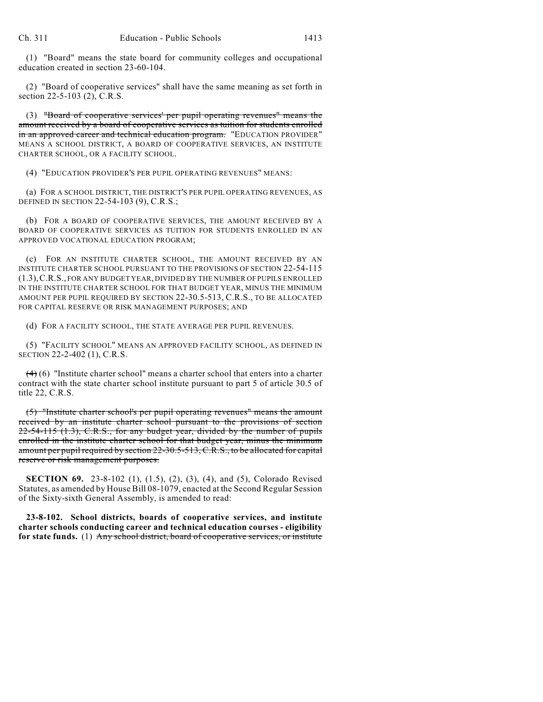(1) "Board" means the state board for community colleges and occupational education created in section 23-60-104.

(2) "Board of cooperative services" shall have the same meaning as set forth in section 22-5-103 (2), C.R.S.

(3) "Board of cooperative services' per pupil operating revenues" means the amount received by a board of cooperative services as tuition for students enrolled in an approved career and technical education program. "EDUCATION PROVIDER" MEANS A SCHOOL DISTRICT, A BOARD OF COOPERATIVE SERVICES, AN INSTITUTE CHARTER SCHOOL, OR A FACILITY SCHOOL.

(4) "EDUCATION PROVIDER'S PER PUPIL OPERATING REVENUES" MEANS:

(a) FOR A SCHOOL DISTRICT, THE DISTRICT'S PER PUPIL OPERATING REVENUES, AS DEFINED IN SECTION 22-54-103 (9), C.R.S.;

(b) FOR A BOARD OF COOPERATIVE SERVICES, THE AMOUNT RECEIVED BY A BOARD OF COOPERATIVE SERVICES AS TUITION FOR STUDENTS ENROLLED IN AN APPROVED VOCATIONAL EDUCATION PROGRAM;

(c) FOR AN INSTITUTE CHARTER SCHOOL, THE AMOUNT RECEIVED BY AN INSTITUTE CHARTER SCHOOL PURSUANT TO THE PROVISIONS OF SECTION 22-54-115 (1.3),C.R.S., FOR ANY BUDGET YEAR, DIVIDED BY THE NUMBER OF PUPILS ENROLLED IN THE INSTITUTE CHARTER SCHOOL FOR THAT BUDGET YEAR, MINUS THE MINIMUM AMOUNT PER PUPIL REQUIRED BY SECTION 22-30.5-513, C.R.S., TO BE ALLOCATED FOR CAPITAL RESERVE OR RISK MANAGEMENT PURPOSES; AND

(d) FOR A FACILITY SCHOOL, THE STATE AVERAGE PER PUPIL REVENUES.

(5) "FACILITY SCHOOL" MEANS AN APPROVED FACILITY SCHOOL, AS DEFINED IN SECTION 22-2-402 (1), C.R.S.

 $(4)$  (6) "Institute charter school" means a charter school that enters into a charter contract with the state charter school institute pursuant to part 5 of article 30.5 of title 22, C.R.S.

(5) "Institute charter school's per pupil operating revenues" means the amount received by an institute charter school pursuant to the provisions of section 22-54-115 (1.3), C.R.S., for any budget year, divided by the number of pupils enrolled in the institute charter school for that budget year, minus the minimum amount per pupil required by section 22-30.5-513, C.R.S., to be allocated for capital reserve or risk management purposes.

**SECTION 69.** 23-8-102 (1), (1.5), (2), (3), (4), and (5), Colorado Revised Statutes, as amended by House Bill 08-1079, enacted at the Second Regular Session of the Sixty-sixth General Assembly, is amended to read:

**23-8-102. School districts, boards of cooperative services, and institute charter schools conducting career and technical education courses - eligibility** for state funds. (1) Any school district, board of cooperative services, or institute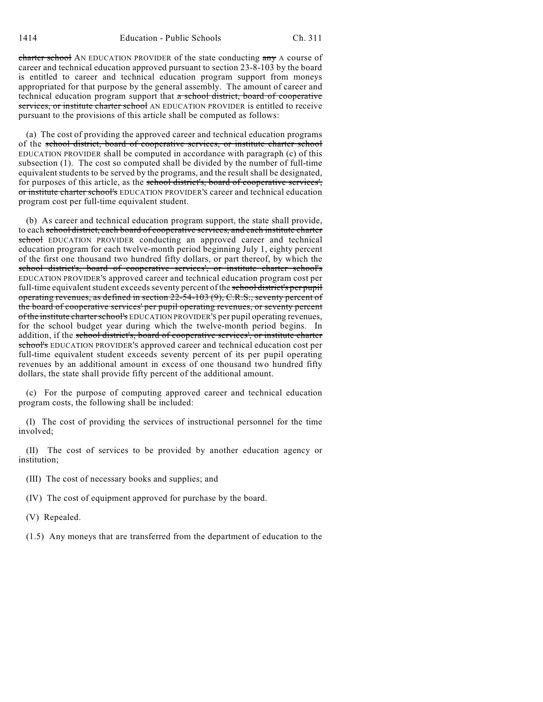charter school AN EDUCATION PROVIDER of the state conducting any A course of career and technical education approved pursuant to section 23-8-103 by the board is entitled to career and technical education program support from moneys appropriated for that purpose by the general assembly. The amount of career and technical education program support that a school district, board of cooperative services, or institute charter school AN EDUCATION PROVIDER is entitled to receive pursuant to the provisions of this article shall be computed as follows:

(a) The cost of providing the approved career and technical education programs of the school district, board of cooperative services, or institute charter school EDUCATION PROVIDER shall be computed in accordance with paragraph (c) of this subsection (1). The cost so computed shall be divided by the number of full-time equivalent students to be served by the programs, and the result shall be designated, for purposes of this article, as the school district's, board of cooperative services', or institute charter school's EDUCATION PROVIDER'S career and technical education program cost per full-time equivalent student.

(b) As career and technical education program support, the state shall provide, to each school district, each board of cooperative services, and each institute charter school EDUCATION PROVIDER conducting an approved career and technical education program for each twelve-month period beginning July 1, eighty percent of the first one thousand two hundred fifty dollars, or part thereof, by which the school district's, board of cooperative services', or institute charter school's EDUCATION PROVIDER'S approved career and technical education program cost per full-time equivalent student exceeds seventy percent of the school district's per pupil operating revenues, as defined in section 22-54-103 (9), C.R.S., seventy percent of the board of cooperative services' per pupil operating revenues, or seventy percent of the institute charter school's EDUCATION PROVIDER'S per pupil operating revenues, for the school budget year during which the twelve-month period begins. In addition, if the school district's, board of cooperative services', or institute charter school's EDUCATION PROVIDER'S approved career and technical education cost per full-time equivalent student exceeds seventy percent of its per pupil operating revenues by an additional amount in excess of one thousand two hundred fifty dollars, the state shall provide fifty percent of the additional amount.

(c) For the purpose of computing approved career and technical education program costs, the following shall be included:

(I) The cost of providing the services of instructional personnel for the time involved;

(II) The cost of services to be provided by another education agency or institution;

- (III) The cost of necessary books and supplies; and
- (IV) The cost of equipment approved for purchase by the board.
- (V) Repealed.
- (1.5) Any moneys that are transferred from the department of education to the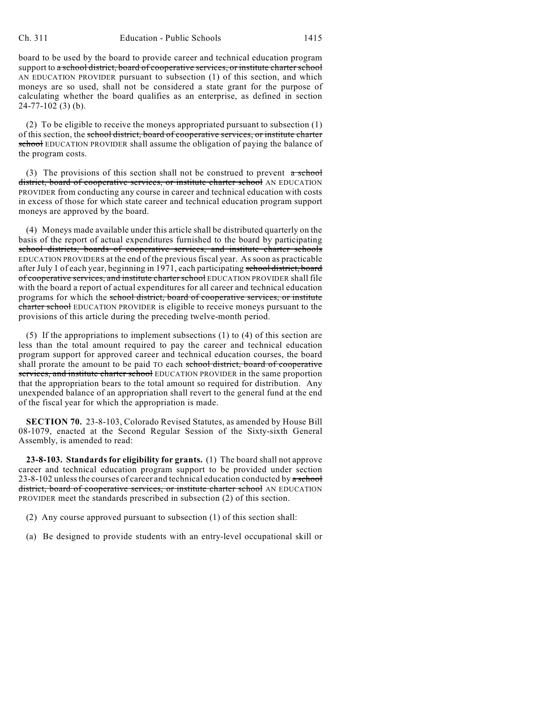board to be used by the board to provide career and technical education program support to a school district, board of cooperative services, or institute charter school AN EDUCATION PROVIDER pursuant to subsection (1) of this section, and which moneys are so used, shall not be considered a state grant for the purpose of calculating whether the board qualifies as an enterprise, as defined in section 24-77-102 (3) (b).

(2) To be eligible to receive the moneys appropriated pursuant to subsection (1) of this section, the school district, board of cooperative services, or institute charter school EDUCATION PROVIDER shall assume the obligation of paying the balance of the program costs.

(3) The provisions of this section shall not be construed to prevent  $\alpha$  school district, board of cooperative services, or institute charter school AN EDUCATION PROVIDER from conducting any course in career and technical education with costs in excess of those for which state career and technical education program support moneys are approved by the board.

(4) Moneys made available under this article shall be distributed quarterly on the basis of the report of actual expenditures furnished to the board by participating school districts, boards of cooperative services, and institute charter schools EDUCATION PROVIDERS at the end of the previous fiscal year. As soon as practicable after July 1 of each year, beginning in 1971, each participating school district, board of cooperative services, and institute charter school EDUCATION PROVIDER shall file with the board a report of actual expenditures for all career and technical education programs for which the school district, board of cooperative services, or institute charter school EDUCATION PROVIDER is eligible to receive moneys pursuant to the provisions of this article during the preceding twelve-month period.

(5) If the appropriations to implement subsections (1) to (4) of this section are less than the total amount required to pay the career and technical education program support for approved career and technical education courses, the board shall prorate the amount to be paid TO each school district, board of cooperative services, and institute charter school EDUCATION PROVIDER in the same proportion that the appropriation bears to the total amount so required for distribution. Any unexpended balance of an appropriation shall revert to the general fund at the end of the fiscal year for which the appropriation is made.

**SECTION 70.** 23-8-103, Colorado Revised Statutes, as amended by House Bill 08-1079, enacted at the Second Regular Session of the Sixty-sixth General Assembly, is amended to read:

**23-8-103. Standards for eligibility for grants.** (1) The board shall not approve career and technical education program support to be provided under section  $23-8-102$  unless the courses of career and technical education conducted by a school district, board of cooperative services, or institute charter school AN EDUCATION PROVIDER meet the standards prescribed in subsection (2) of this section.

- (2) Any course approved pursuant to subsection (1) of this section shall:
- (a) Be designed to provide students with an entry-level occupational skill or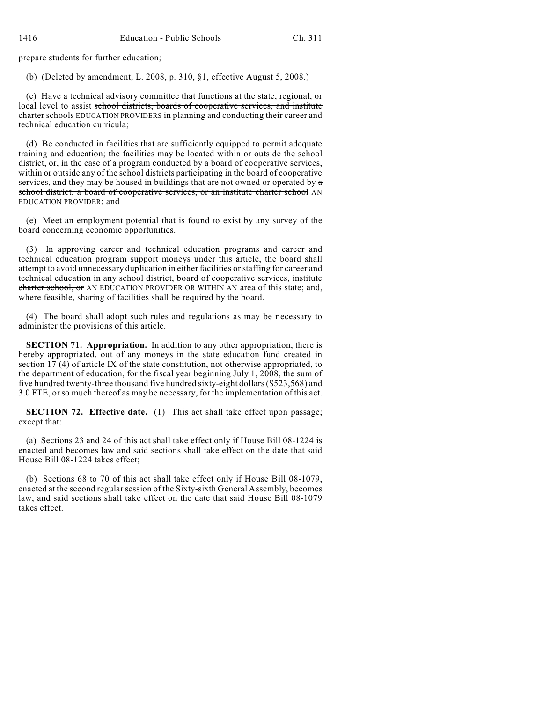prepare students for further education;

(b) (Deleted by amendment, L. 2008, p. 310, §1, effective August 5, 2008.)

(c) Have a technical advisory committee that functions at the state, regional, or local level to assist school districts, boards of cooperative services, and institute charter schools EDUCATION PROVIDERS in planning and conducting their career and technical education curricula;

(d) Be conducted in facilities that are sufficiently equipped to permit adequate training and education; the facilities may be located within or outside the school district, or, in the case of a program conducted by a board of cooperative services, within or outside any of the school districts participating in the board of cooperative services, and they may be housed in buildings that are not owned or operated by  $\alpha$ school district, a board of cooperative services, or an institute charter school AN EDUCATION PROVIDER; and

(e) Meet an employment potential that is found to exist by any survey of the board concerning economic opportunities.

(3) In approving career and technical education programs and career and technical education program support moneys under this article, the board shall attempt to avoid unnecessary duplication in either facilities or staffing for career and technical education in any school district, board of cooperative services, institute charter school, or AN EDUCATION PROVIDER OR WITHIN AN area of this state; and, where feasible, sharing of facilities shall be required by the board.

(4) The board shall adopt such rules and regulations as may be necessary to administer the provisions of this article.

**SECTION 71. Appropriation.** In addition to any other appropriation, there is hereby appropriated, out of any moneys in the state education fund created in section 17 (4) of article IX of the state constitution, not otherwise appropriated, to the department of education, for the fiscal year beginning July 1, 2008, the sum of five hundred twenty-three thousand five hundred sixty-eight dollars (\$523,568) and 3.0 FTE, or so much thereof as may be necessary, for the implementation of this act.

**SECTION 72. Effective date.** (1) This act shall take effect upon passage; except that:

(a) Sections 23 and 24 of this act shall take effect only if House Bill 08-1224 is enacted and becomes law and said sections shall take effect on the date that said House Bill 08-1224 takes effect;

(b) Sections 68 to 70 of this act shall take effect only if House Bill 08-1079, enacted at the second regular session of the Sixty-sixth General Assembly, becomes law, and said sections shall take effect on the date that said House Bill 08-1079 takes effect.